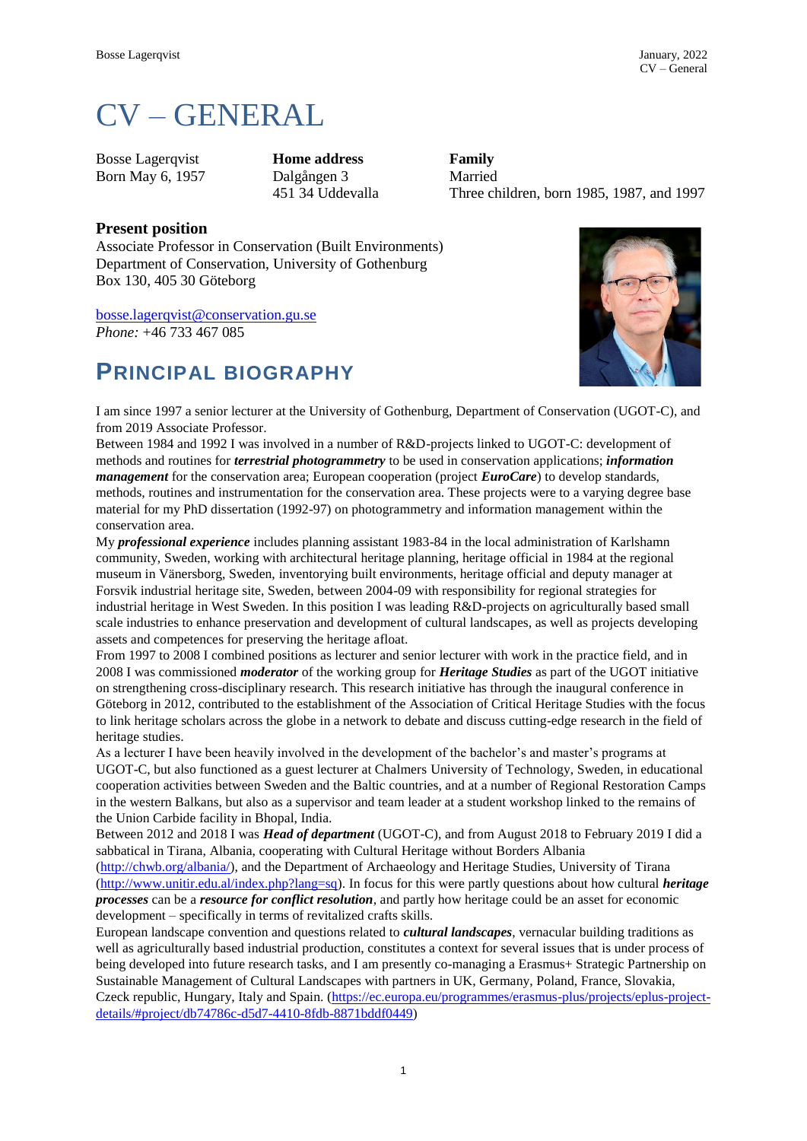# CV – GENERAL

Bosse Lagerqvist **Home address Family** Born May 6, 1957 Dalgången 3 Married

451 34 Uddevalla Three children, born 1985, 1987, and 1997

#### **Present position**

Associate Professor in Conservation (Built Environments) Department of Conservation, University of Gothenburg Box 130, 405 30 Göteborg

[bosse.lagerqvist@conservation.gu.se](mailto:bosse.lagerqvist@conservation.gu.se) *Phone:* +46 733 467 085

### **PRINCIPAL BIOGRAPHY**



I am since 1997 a senior lecturer at the University of Gothenburg, Department of Conservation (UGOT-C), and from 2019 Associate Professor.

Between 1984 and 1992 I was involved in a number of R&D-projects linked to UGOT-C: development of methods and routines for *terrestrial photogrammetry* to be used in conservation applications; *information management* for the conservation area; European cooperation (project *EuroCare*) to develop standards, methods, routines and instrumentation for the conservation area. These projects were to a varying degree base material for my PhD dissertation (1992-97) on photogrammetry and information management within the conservation area.

My *professional experience* includes planning assistant 1983-84 in the local administration of Karlshamn community, Sweden, working with architectural heritage planning, heritage official in 1984 at the regional museum in Vänersborg, Sweden, inventorying built environments, heritage official and deputy manager at Forsvik industrial heritage site, Sweden, between 2004-09 with responsibility for regional strategies for industrial heritage in West Sweden. In this position I was leading R&D-projects on agriculturally based small scale industries to enhance preservation and development of cultural landscapes, as well as projects developing assets and competences for preserving the heritage afloat.

From 1997 to 2008 I combined positions as lecturer and senior lecturer with work in the practice field, and in 2008 I was commissioned *moderator* of the working group for *Heritage Studies* as part of the UGOT initiative on strengthening cross-disciplinary research. This research initiative has through the inaugural conference in Göteborg in 2012, contributed to the establishment of the Association of Critical Heritage Studies with the focus to link heritage scholars across the globe in a network to debate and discuss cutting-edge research in the field of heritage studies.

As a lecturer I have been heavily involved in the development of the bachelor's and master's programs at UGOT-C, but also functioned as a guest lecturer at Chalmers University of Technology, Sweden, in educational cooperation activities between Sweden and the Baltic countries, and at a number of Regional Restoration Camps in the western Balkans, but also as a supervisor and team leader at a student workshop linked to the remains of the Union Carbide facility in Bhopal, India.

Between 2012 and 2018 I was *Head of department* (UGOT-C), and from August 2018 to February 2019 I did a sabbatical in Tirana, Albania, cooperating with Cultural Heritage without Borders Albania

[\(http://chwb.org/albania/\)](http://chwb.org/albania/), and the Department of Archaeology and Heritage Studies, University of Tirana [\(http://www.unitir.edu.al/index.php?lang=sq\)](http://www.unitir.edu.al/index.php?lang=sq). In focus for this were partly questions about how cultural *heritage processes* can be a *resource for conflict resolution*, and partly how heritage could be an asset for economic development – specifically in terms of revitalized crafts skills.

European landscape convention and questions related to *cultural landscapes*, vernacular building traditions as well as agriculturally based industrial production, constitutes a context for several issues that is under process of being developed into future research tasks, and I am presently co-managing a Erasmus+ Strategic Partnership on Sustainable Management of Cultural Landscapes with partners in UK, Germany, Poland, France, Slovakia, Czeck republic, Hungary, Italy and Spain. [\(https://ec.europa.eu/programmes/erasmus-plus/projects/eplus-project](https://ec.europa.eu/programmes/erasmus-plus/projects/eplus-project-details/#project/db74786c-d5d7-4410-8fdb-8871bddf0449)[details/#project/db74786c-d5d7-4410-8fdb-8871bddf0449\)](https://ec.europa.eu/programmes/erasmus-plus/projects/eplus-project-details/#project/db74786c-d5d7-4410-8fdb-8871bddf0449)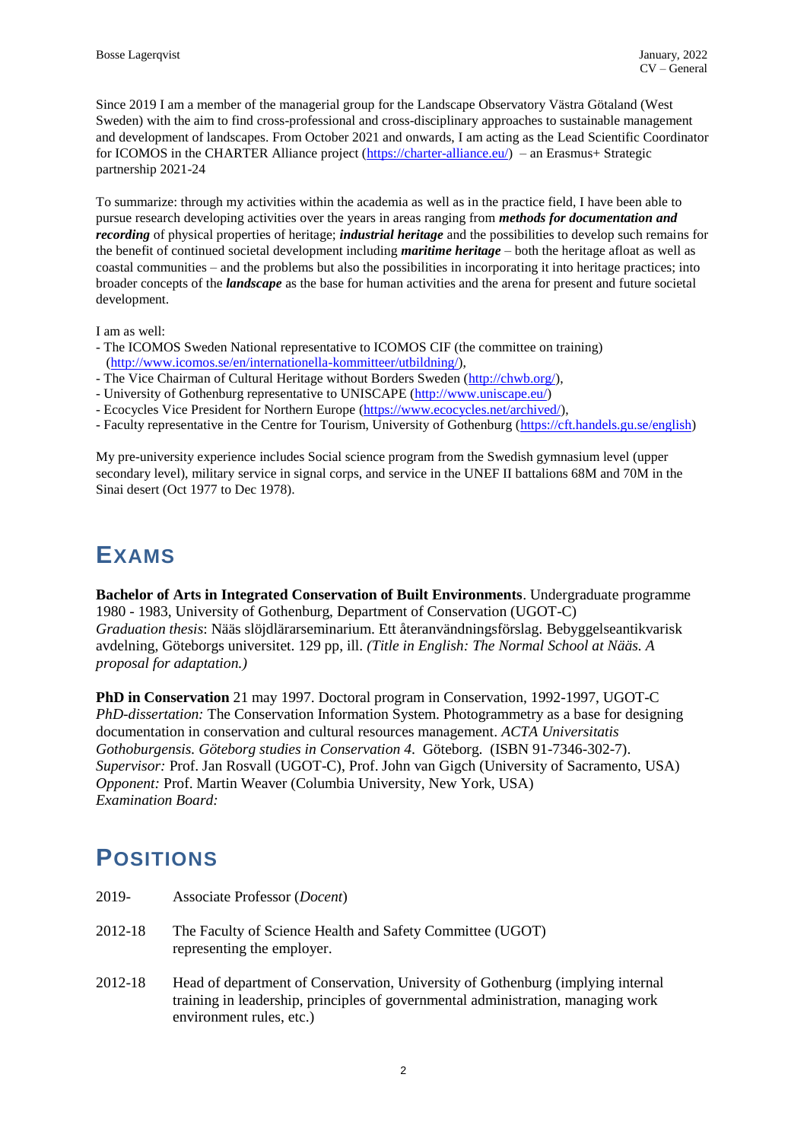Since 2019 I am a member of the managerial group for the Landscape Observatory Västra Götaland (West Sweden) with the aim to find cross-professional and cross-disciplinary approaches to sustainable management and development of landscapes. From October 2021 and onwards, I am acting as the Lead Scientific Coordinator for ICOMOS in the CHARTER Alliance project [\(https://charter-alliance.eu/\)](https://charter-alliance.eu/) – an Erasmus+ Strategic partnership 2021-24

To summarize: through my activities within the academia as well as in the practice field, I have been able to pursue research developing activities over the years in areas ranging from *methods for documentation and recording* of physical properties of heritage; *industrial heritage* and the possibilities to develop such remains for the benefit of continued societal development including *maritime heritage* – both the heritage afloat as well as coastal communities – and the problems but also the possibilities in incorporating it into heritage practices; into broader concepts of the *landscape* as the base for human activities and the arena for present and future societal development.

I am as well:

- The ICOMOS Sweden National representative to ICOMOS CIF (the committee on training) [\(http://www.icomos.se/en/internationella-kommitteer/utbildning/\)](http://www.icomos.se/en/internationella-kommitteer/utbildning/),
- The Vice Chairman of Cultural Heritage without Borders Sweden [\(http://chwb.org/\)](http://chwb.org/),
- University of Gothenburg representative to UNISCAPE [\(http://www.uniscape.eu/\)](http://www.uniscape.eu/)
- Ecocycles Vice President for Northern Europe [\(https://www.ecocycles.net/archived/\)](https://www.ecocycles.net/archived/),
- Faculty representative in the Centre for Tourism, University of Gothenburg [\(https://cft.handels.gu.se/english\)](https://cft.handels.gu.se/english)

My pre-university experience includes Social science program from the Swedish gymnasium level (upper secondary level), military service in signal corps, and service in the UNEF II battalions 68M and 70M in the Sinai desert (Oct 1977 to Dec 1978).

## **EXAMS**

**Bachelor of Arts in Integrated Conservation of Built Environments**. Undergraduate programme 1980 - 1983, University of Gothenburg, Department of Conservation (UGOT-C) *Graduation thesis*: Nääs slöjdlärarseminarium. Ett återanvändningsförslag. Bebyggelseantikvarisk avdelning, Göteborgs universitet. 129 pp, ill. *(Title in English: The Normal School at Nääs. A proposal for adaptation.)*

**PhD in Conservation** 21 may 1997. Doctoral program in Conservation, 1992-1997, UGOT-C *PhD-dissertation:* The Conservation Information System. Photogrammetry as a base for designing documentation in conservation and cultural resources management. *ACTA Universitatis Gothoburgensis. Göteborg studies in Conservation 4*. Göteborg. (ISBN 91-7346-302-7). *Supervisor:* Prof. Jan Rosvall (UGOT-C), Prof. John van Gigch (University of Sacramento, USA) *Opponent:* Prof. Martin Weaver (Columbia University, New York, USA) *Examination Board:*

# **POSITIONS**

- 2019- Associate Professor (*Docent*)
- 2012-18 The Faculty of Science Health and Safety Committee (UGOT) representing the employer.
- 2012-18 Head of department of Conservation, University of Gothenburg (implying internal training in leadership, principles of governmental administration, managing work environment rules, etc.)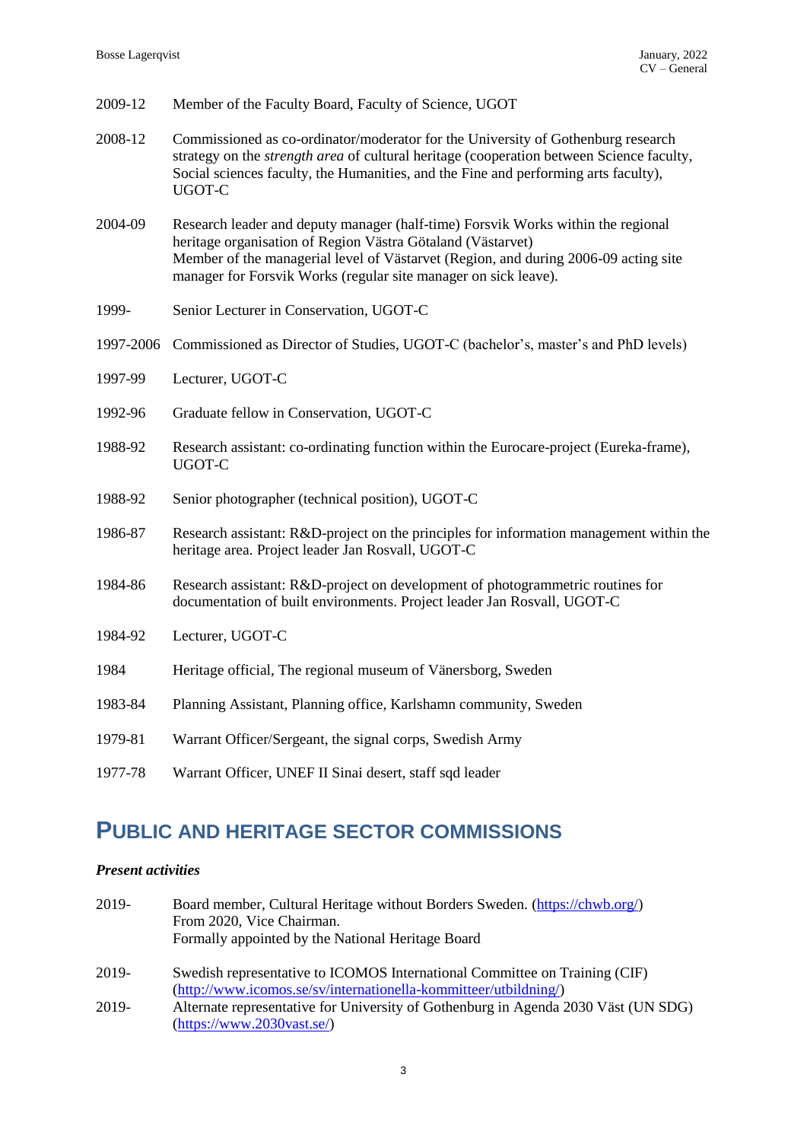| 2009-12 | Member of the Faculty Board, Faculty of Science, UGOT |  |  |  |  |  |
|---------|-------------------------------------------------------|--|--|--|--|--|
|---------|-------------------------------------------------------|--|--|--|--|--|

- 2008-12 Commissioned as co-ordinator/moderator for the University of Gothenburg research strategy on the *strength area* of cultural heritage (cooperation between Science faculty, Social sciences faculty, the Humanities, and the Fine and performing arts faculty), UGOT-C
- 2004-09 Research leader and deputy manager (half-time) Forsvik Works within the regional heritage organisation of Region Västra Götaland (Västarvet) Member of the managerial level of Västarvet (Region, and during 2006-09 acting site manager for Forsvik Works (regular site manager on sick leave).
- 1999- Senior Lecturer in Conservation, UGOT-C
- 1997-2006 Commissioned as Director of Studies, UGOT-C (bachelor's, master's and PhD levels)
- 1997-99 Lecturer, UGOT-C
- 1992-96 Graduate fellow in Conservation, UGOT-C
- 1988-92 Research assistant: co-ordinating function within the Eurocare-project (Eureka-frame), UGOT-C
- 1988-92 Senior photographer (technical position), UGOT-C
- 1986-87 Research assistant: R&D-project on the principles for information management within the heritage area. Project leader Jan Rosvall, UGOT-C
- 1984-86 Research assistant: R&D-project on development of photogrammetric routines for documentation of built environments. Project leader Jan Rosvall, UGOT-C
- 1984-92 Lecturer, UGOT-C
- 1984 Heritage official, The regional museum of Vänersborg, Sweden
- 1983-84 Planning Assistant, Planning office, Karlshamn community, Sweden
- 1979-81 Warrant Officer/Sergeant, the signal corps, Swedish Army
- 1977-78 Warrant Officer, UNEF II Sinai desert, staff sqd leader

### **PUBLIC AND HERITAGE SECTOR COMMISSIONS**

#### *Present activities*

| 2019- | Board member, Cultural Heritage without Borders Sweden. (https://chwb.org/)        |
|-------|------------------------------------------------------------------------------------|
|       | From 2020, Vice Chairman.                                                          |
|       | Formally appointed by the National Heritage Board                                  |
| 2019- | Swedish representative to ICOMOS International Committee on Training (CIF)         |
|       | (http://www.icomos.se/sv/internationella-kommitteer/utbildning/)                   |
| 2019- | Alternate representative for University of Gothenburg in Agenda 2030 Väst (UN SDG) |
|       | (htips://www.2030vast.se/)                                                         |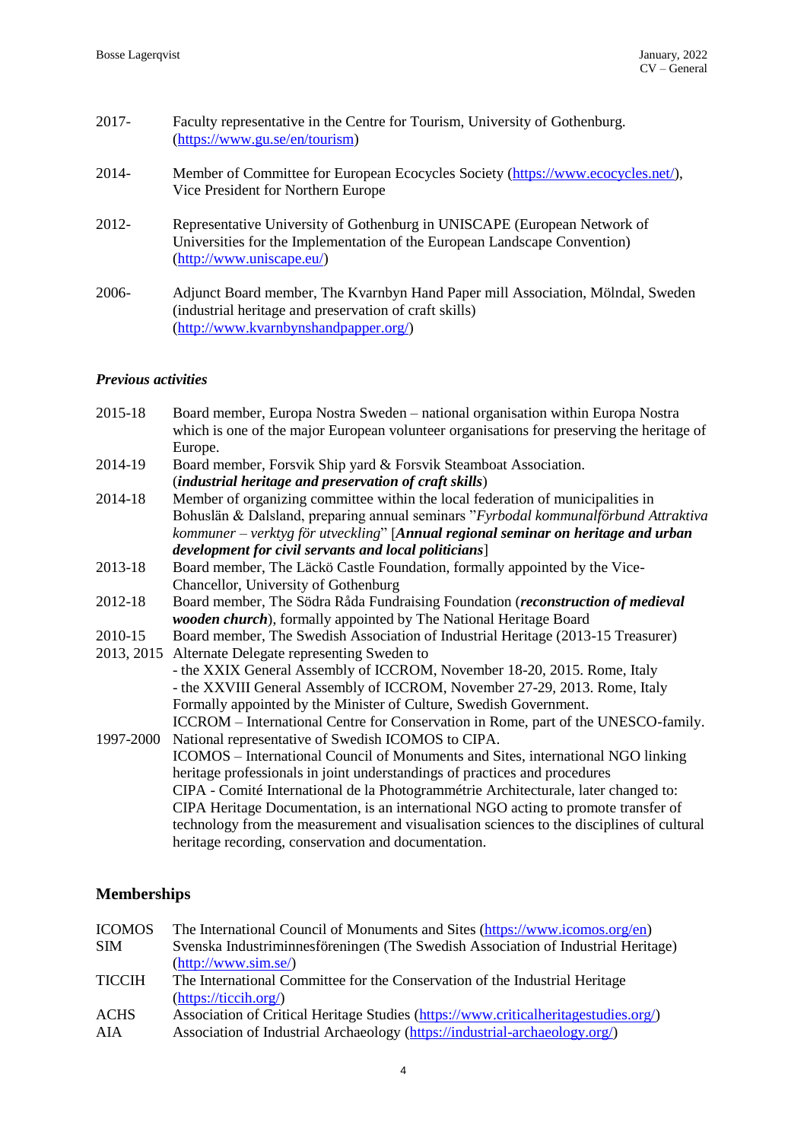| $2017 -$ | Faculty representative in the Centre for Tourism, University of Gothenburg.<br>(https://www.gu.se/en/tourism)                                                                      |
|----------|------------------------------------------------------------------------------------------------------------------------------------------------------------------------------------|
| 2014-    | Member of Committee for European Ecocycles Society (https://www.ecocycles.net/),<br>Vice President for Northern Europe                                                             |
| $2012 -$ | Representative University of Gothenburg in UNISCAPE (European Network of<br>Universities for the Implementation of the European Landscape Convention)<br>(http://www.uniscape.eu/) |
| $2006 -$ | Adjunct Board member, The Kvarnbyn Hand Paper mill Association, Mölndal, Sweden<br>(industrial heritage and preservation of craft skills)<br>(http://www.kvarnbynshandpapper.org/) |

### *Previous activities*

| 2015-18    | Board member, Europa Nostra Sweden – national organisation within Europa Nostra<br>which is one of the major European volunteer organisations for preserving the heritage of |
|------------|------------------------------------------------------------------------------------------------------------------------------------------------------------------------------|
|            | Europe.                                                                                                                                                                      |
| 2014-19    | Board member, Forsvik Ship yard & Forsvik Steamboat Association.                                                                                                             |
|            | (industrial heritage and preservation of craft skills)                                                                                                                       |
| 2014-18    | Member of organizing committee within the local federation of municipalities in                                                                                              |
|            | Bohuslän & Dalsland, preparing annual seminars "Fyrbodal kommunalförbund Attraktiva                                                                                          |
|            | kommuner - verktyg för utveckling" [Annual regional seminar on heritage and urban                                                                                            |
|            | development for civil servants and local politicians]                                                                                                                        |
| 2013-18    | Board member, The Läckö Castle Foundation, formally appointed by the Vice-                                                                                                   |
|            | Chancellor, University of Gothenburg                                                                                                                                         |
| 2012-18    | Board member, The Södra Råda Fundraising Foundation (reconstruction of medieval                                                                                              |
|            | wooden church), formally appointed by The National Heritage Board                                                                                                            |
| 2010-15    | Board member, The Swedish Association of Industrial Heritage (2013-15 Treasurer)                                                                                             |
| 2013, 2015 | Alternate Delegate representing Sweden to                                                                                                                                    |
|            | - the XXIX General Assembly of ICCROM, November 18-20, 2015. Rome, Italy                                                                                                     |
|            | - the XXVIII General Assembly of ICCROM, November 27-29, 2013. Rome, Italy                                                                                                   |
|            | Formally appointed by the Minister of Culture, Swedish Government.                                                                                                           |
|            | ICCROM – International Centre for Conservation in Rome, part of the UNESCO-family.                                                                                           |
| 1997-2000  | National representative of Swedish ICOMOS to CIPA.                                                                                                                           |
|            | ICOMOS - International Council of Monuments and Sites, international NGO linking                                                                                             |
|            | heritage professionals in joint understandings of practices and procedures                                                                                                   |
|            | CIPA - Comité International de la Photogrammétrie Architecturale, later changed to:                                                                                          |
|            | CIPA Heritage Documentation, is an international NGO acting to promote transfer of                                                                                           |
|            | technology from the measurement and visualisation sciences to the disciplines of cultural                                                                                    |
|            | heritage recording, conservation and documentation.                                                                                                                          |
|            |                                                                                                                                                                              |

### **Memberships**

| <b>ICOMOS</b> | The International Council of Monuments and Sites (https://www.icomos.org/en)                                  |
|---------------|---------------------------------------------------------------------------------------------------------------|
| <b>SIM</b>    | Svenska Industriminnesföreningen (The Swedish Association of Industrial Heritage)                             |
|               | (http://www.sim.se/)                                                                                          |
| <b>TICCIH</b> | The International Committee for the Conservation of the Industrial Heritage<br>$(\frac{https://ticcih.org/}{$ |
| <b>ACHS</b>   | Association of Critical Heritage Studies (https://www.criticalheritagestudies.org/)                           |
| AIA           | Association of Industrial Archaeology (https://industrial-archaeology.org/)                                   |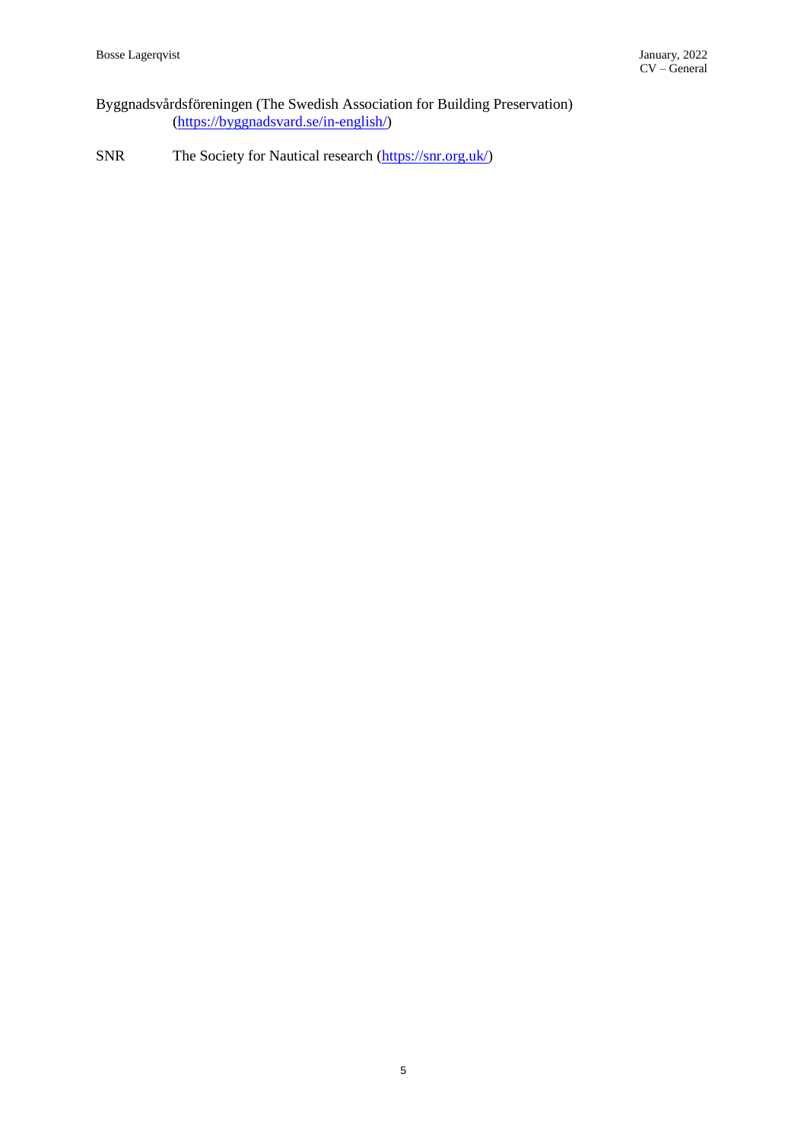Byggnadsvårdsföreningen (The Swedish Association for Building Preservation) [\(https://byggnadsvard.se/in-english/\)](https://byggnadsvard.se/in-english/)

SNR The Society for Nautical research [\(https://snr.org.uk/\)](https://snr.org.uk/)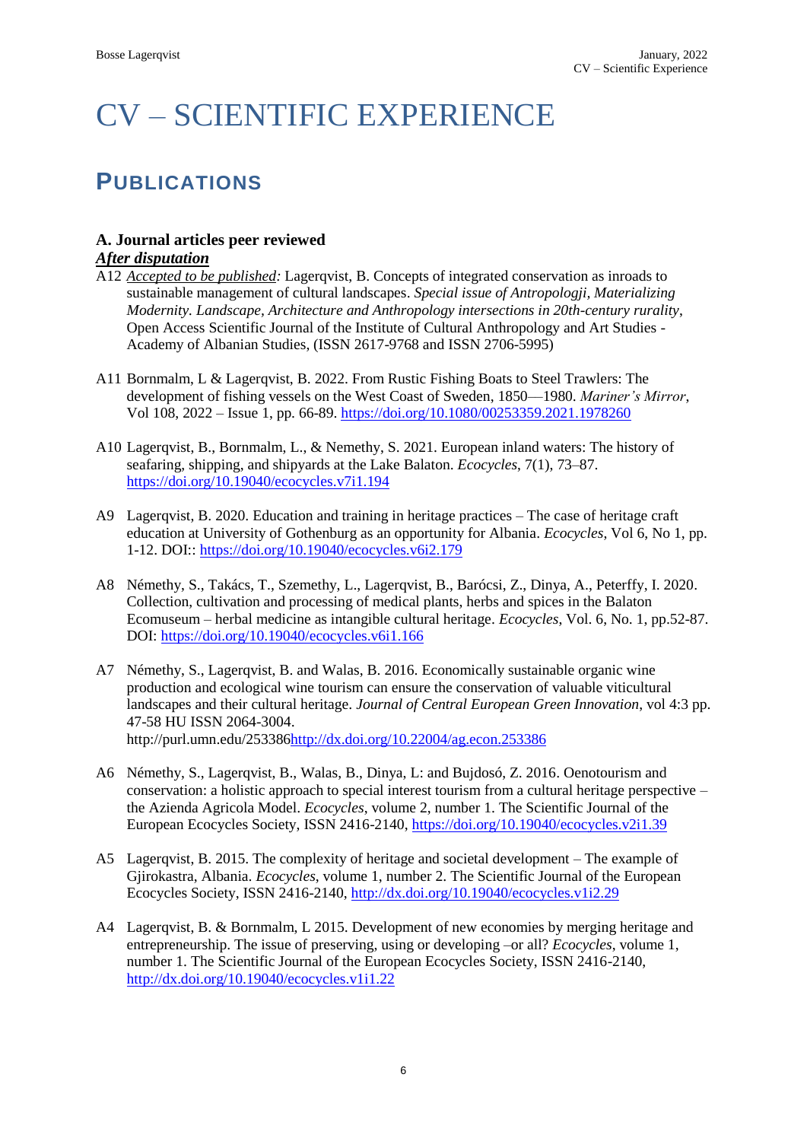# CV – SCIENTIFIC EXPERIENCE

# **PUBLICATIONS**

### **A. Journal articles peer reviewed**

### *After disputation*

- A12 *Accepted to be published:* Lagerqvist, B. Concepts of integrated conservation as inroads to sustainable management of cultural landscapes. *Special issue of Antropologji, Materializing Modernity. Landscape, Architecture and Anthropology intersections in 20th-century rurality*, Open Access Scientific Journal of the Institute of Cultural Anthropology and Art Studies - Academy of Albanian Studies, (ISSN 2617-9768 and ISSN 2706-5995)
- A11 Bornmalm, L & Lagerqvist, B. 2022. From Rustic Fishing Boats to Steel Trawlers: The development of fishing vessels on the West Coast of Sweden, 1850––1980. *Mariner's Mirror*, Vol 108, 2022 – Issue 1, pp. 66-89.<https://doi.org/10.1080/00253359.2021.1978260>
- A10 Lagerqvist, B., Bornmalm, L., & Nemethy, S. 2021. European inland waters: The history of seafaring, shipping, and shipyards at the Lake Balaton. *Ecocycles*, 7(1), 73–87. <https://doi.org/10.19040/ecocycles.v7i1.194>
- A9 Lagerqvist, B. 2020. Education and training in heritage practices The case of heritage craft education at University of Gothenburg as an opportunity for Albania. *Ecocycles*, Vol 6, No 1, pp. 1-12. DOI::<https://doi.org/10.19040/ecocycles.v6i2.179>
- A8 Némethy, S., Takács, T., Szemethy, L., Lagerqvist, B., Barócsi, Z., Dinya, A., Peterffy, I. 2020. Collection, cultivation and processing of medical plants, herbs and spices in the Balaton Ecomuseum – herbal medicine as intangible cultural heritage. *Ecocycles*, Vol. 6, No. 1, pp.52-87. DOI:<https://doi.org/10.19040/ecocycles.v6i1.166>
- A7 Némethy, S., Lagerqvist, B. and Walas, B. 2016. Economically sustainable organic wine production and ecological wine tourism can ensure the conservation of valuable viticultural landscapes and their cultural heritage. *Journal of Central European Green Innovation*, vol 4:3 pp. 47-58 HU ISSN 2064-3004. http://purl.umn.edu/25338[6http://dx.doi.org/10.22004/ag.econ.253386](http://dx.doi.org/10.22004/ag.econ.253386)
- A6 Némethy, S., Lagerqvist, B., Walas, B., Dinya, L: and Bujdosó, Z. 2016. Oenotourism and conservation: a holistic approach to special interest tourism from a cultural heritage perspective – the Azienda Agricola Model. *Ecocycles*, volume 2, number 1. The Scientific Journal of the European Ecocycles Society, ISSN 2416-2140,<https://doi.org/10.19040/ecocycles.v2i1.39>
- A5 Lagerqvist, B. 2015. The complexity of heritage and societal development The example of Gjirokastra, Albania. *Ecocycles*, volume 1, number 2. The Scientific Journal of the European Ecocycles Society, ISSN 2416-2140,<http://dx.doi.org/10.19040/ecocycles.v1i2.29>
- A4 Lagerqvist, B. & Bornmalm, L 2015. Development of new economies by merging heritage and entrepreneurship. The issue of preserving, using or developing –or all? *Ecocycles*, volume 1, number 1. The Scientific Journal of the European Ecocycles Society, ISSN 2416-2140, <http://dx.doi.org/10.19040/ecocycles.v1i1.22>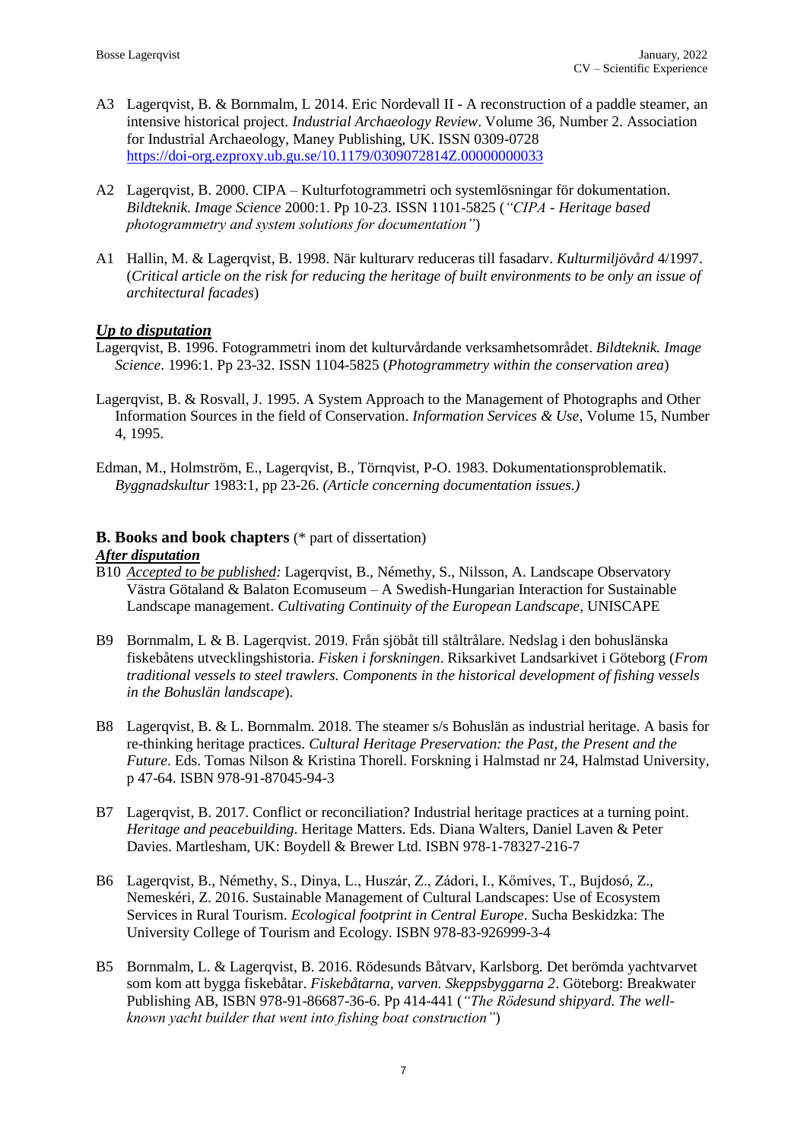- A3 Lagerqvist, B. & Bornmalm, L 2014. Eric Nordevall II A reconstruction of a paddle steamer, an intensive historical project. *Industrial Archaeology Review*. Volume 36, Number 2. Association for Industrial Archaeology, Maney Publishing, UK. ISSN 0309-0728 <https://doi-org.ezproxy.ub.gu.se/10.1179/0309072814Z.00000000033>
- A2 Lagerqvist, B. 2000. CIPA Kulturfotogrammetri och systemlösningar för dokumentation. *Bildteknik. Image Science* 2000:1. Pp 10-23. ISSN 1101-5825 (*"CIPA - Heritage based photogrammetry and system solutions for documentation"*)
- A1 Hallin, M. & Lagerqvist, B. 1998. När kulturarv reduceras till fasadarv. *Kulturmiljövård* 4/1997. (*Critical article on the risk for reducing the heritage of built environments to be only an issue of architectural facades*)

### *Up to disputation*

- Lagerqvist, B. 1996. Fotogrammetri inom det kulturvårdande verksamhetsområdet. *Bildteknik. Image Science*. 1996:1. Pp 23-32. ISSN 1104-5825 (*Photogrammetry within the conservation area*)
- Lagerqvist, B. & Rosvall, J. 1995. A System Approach to the Management of Photographs and Other Information Sources in the field of Conservation. *Information Services & Use*, Volume 15, Number 4, 1995.
- Edman, M., Holmström, E., Lagerqvist, B., Törnqvist, P-O. 1983. Dokumentationsproblematik. *Byggnadskultur* 1983:1, pp 23-26. *(Article concerning documentation issues.)*

### **B. Books and book chapters** (\* part of dissertation)

### *After disputation*

- B10 *Accepted to be published:* Lagerqvist, B., Némethy, S., Nilsson, A. Landscape Observatory Västra Götaland & Balaton Ecomuseum – A Swedish-Hungarian Interaction for Sustainable Landscape management. *Cultivating Continuity of the European Landscape*, UNISCAPE
- B9 Bornmalm, L & B. Lagerqvist. 2019. Från sjöbåt till ståltrålare. Nedslag i den bohuslänska fiskebåtens utvecklingshistoria. *Fisken i forskningen*. Riksarkivet Landsarkivet i Göteborg (*From traditional vessels to steel trawlers. Components in the historical development of fishing vessels in the Bohuslän landscape*).
- B8 Lagerqvist, B. & L. Bornmalm. 2018. The steamer s/s Bohuslän as industrial heritage. A basis for re-thinking heritage practices. *Cultural Heritage Preservation: the Past, the Present and the Future*. Eds. Tomas Nilson & Kristina Thorell. Forskning i Halmstad nr 24, Halmstad University, p 47-64. ISBN 978-91-87045-94-3
- B7 Lagerqvist, B. 2017. Conflict or reconciliation? Industrial heritage practices at a turning point. *Heritage and peacebuilding*. Heritage Matters. Eds. Diana Walters, Daniel Laven & Peter Davies. Martlesham, UK: Boydell & Brewer Ltd. ISBN 978-1-78327-216-7
- B6 Lagerqvist, B., Némethy, S., Dinya, L., Huszár, Z., Zádori, I., Kőmíves, T., Bujdosó, Z., Nemeskéri, Z. 2016. Sustainable Management of Cultural Landscapes: Use of Ecosystem Services in Rural Tourism. *Ecological footprint in Central Europe*. Sucha Beskidzka: The University College of Tourism and Ecology. ISBN 978-83-926999-3-4
- B5 Bornmalm, L. & Lagerqvist, B. 2016. Rödesunds Båtvarv, Karlsborg. Det berömda yachtvarvet som kom att bygga fiskebåtar. *Fiskebåtarna, varven. Skeppsbyggarna 2*. Göteborg: Breakwater Publishing AB, ISBN 978-91-86687-36-6. Pp 414-441 (*"The Rödesund shipyard. The wellknown yacht builder that went into fishing boat construction"*)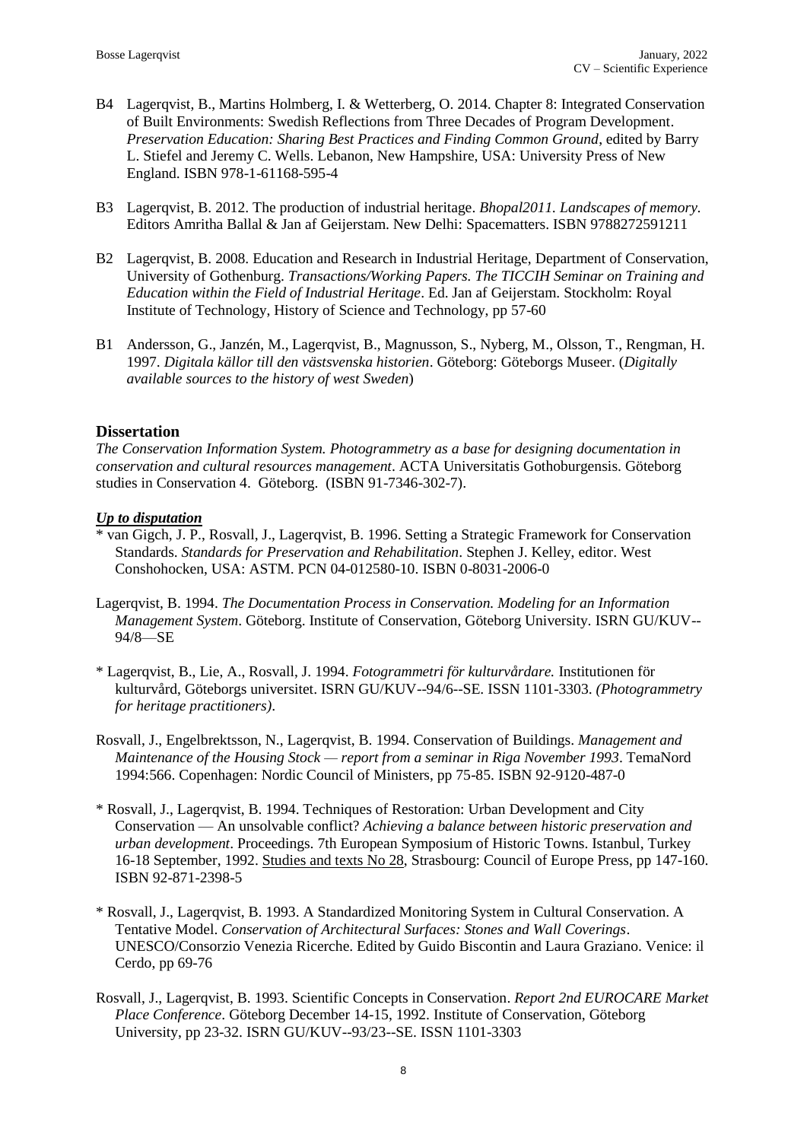- B4 Lagerqvist, B., Martins Holmberg, I. & Wetterberg, O. 2014. Chapter 8: Integrated Conservation of Built Environments: Swedish Reflections from Three Decades of Program Development. *Preservation Education: Sharing Best Practices and Finding Common Ground*, edited by Barry L. Stiefel and Jeremy C. Wells. Lebanon, New Hampshire, USA: University Press of New England. ISBN 978-1-61168-595-4
- B3 Lagerqvist, B. 2012. The production of industrial heritage. *Bhopal2011. Landscapes of memory.*  Editors Amritha Ballal & Jan af Geijerstam. New Delhi: Spacematters. ISBN 9788272591211
- B2 Lagerqvist, B. 2008. Education and Research in Industrial Heritage, Department of Conservation, University of Gothenburg. *Transactions/Working Papers. The TICCIH Seminar on Training and Education within the Field of Industrial Heritage*. Ed. Jan af Geijerstam. Stockholm: Royal Institute of Technology, History of Science and Technology, pp 57-60
- B1 Andersson, G., Janzén, M., Lagerqvist, B., Magnusson, S., Nyberg, M., Olsson, T., Rengman, H. 1997. *Digitala källor till den västsvenska historien*. Göteborg: Göteborgs Museer. (*Digitally available sources to the history of west Sweden*)

### **Dissertation**

*The Conservation Information System. Photogrammetry as a base for designing documentation in conservation and cultural resources management*. ACTA Universitatis Gothoburgensis. Göteborg studies in Conservation 4. Göteborg. (ISBN 91-7346-302-7).

### *Up to disputation*

- \* van Gigch, J. P., Rosvall, J., Lagerqvist, B. 1996. Setting a Strategic Framework for Conservation Standards. *Standards for Preservation and Rehabilitation*. Stephen J. Kelley, editor. West Conshohocken, USA: ASTM. PCN 04-012580-10. ISBN 0-8031-2006-0
- Lagerqvist, B. 1994. *The Documentation Process in Conservation. Modeling for an Information Management System*. Göteborg. Institute of Conservation, Göteborg University. ISRN GU/KUV-- 94/8—SE
- \* Lagerqvist, B., Lie, A., Rosvall, J. 1994. *Fotogrammetri för kulturvårdare.* Institutionen för kulturvård, Göteborgs universitet. ISRN GU/KUV--94/6--SE. ISSN 1101-3303. *(Photogrammetry for heritage practitioners)*.
- Rosvall, J., Engelbrektsson, N., Lagerqvist, B. 1994. Conservation of Buildings. *Management and Maintenance of the Housing Stock — report from a seminar in Riga November 1993*. TemaNord 1994:566. Copenhagen: Nordic Council of Ministers, pp 75-85. ISBN 92-9120-487-0
- \* Rosvall, J., Lagerqvist, B. 1994. Techniques of Restoration: Urban Development and City Conservation — An unsolvable conflict? *Achieving a balance between historic preservation and urban development*. Proceedings. 7th European Symposium of Historic Towns. Istanbul, Turkey 16-18 September, 1992. Studies and texts No 28, Strasbourg: Council of Europe Press, pp 147-160. ISBN 92-871-2398-5
- \* Rosvall, J., Lagerqvist, B. 1993. A Standardized Monitoring System in Cultural Conservation. A Tentative Model. *Conservation of Architectural Surfaces: Stones and Wall Coverings*. UNESCO/Consorzio Venezia Ricerche. Edited by Guido Biscontin and Laura Graziano. Venice: il Cerdo, pp 69-76
- Rosvall, J., Lagerqvist, B. 1993. Scientific Concepts in Conservation. *Report 2nd EUROCARE Market Place Conference*. Göteborg December 14-15, 1992. Institute of Conservation, Göteborg University, pp 23-32. ISRN GU/KUV--93/23--SE. ISSN 1101-3303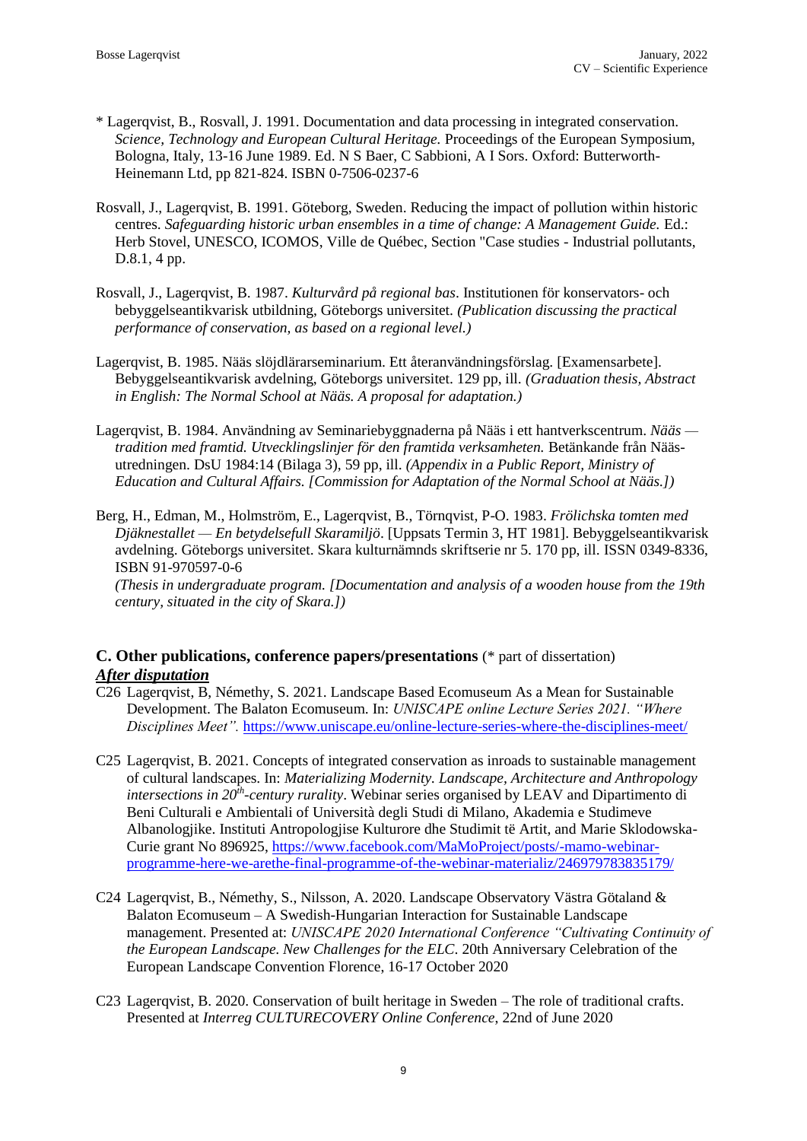- \* Lagerqvist, B., Rosvall, J. 1991. Documentation and data processing in integrated conservation. *Science, Technology and European Cultural Heritage.* Proceedings of the European Symposium, Bologna, Italy, 13-16 June 1989. Ed. N S Baer, C Sabbioni, A I Sors. Oxford: Butterworth-Heinemann Ltd, pp 821-824. ISBN 0-7506-0237-6
- Rosvall, J., Lagerqvist, B. 1991. Göteborg, Sweden. Reducing the impact of pollution within historic centres. *Safeguarding historic urban ensembles in a time of change: A Management Guide.* Ed.: Herb Stovel, UNESCO, ICOMOS, Ville de Québec, Section "Case studies - Industrial pollutants, D.8.1, 4 pp.
- Rosvall, J., Lagerqvist, B. 1987. *Kulturvård på regional bas*. Institutionen för konservators- och bebyggelseantikvarisk utbildning, Göteborgs universitet. *(Publication discussing the practical performance of conservation, as based on a regional level.)*
- Lagerqvist, B. 1985. Nääs slöjdlärarseminarium. Ett återanvändningsförslag. [Examensarbete]. Bebyggelseantikvarisk avdelning, Göteborgs universitet. 129 pp, ill. *(Graduation thesis, Abstract in English: The Normal School at Nääs. A proposal for adaptation.)*
- Lagerqvist, B. 1984. Användning av Seminariebyggnaderna på Nääs i ett hantverkscentrum. *Nääs tradition med framtid. Utvecklingslinjer för den framtida verksamheten.* Betänkande från Nääsutredningen. DsU 1984:14 (Bilaga 3), 59 pp, ill. *(Appendix in a Public Report, Ministry of Education and Cultural Affairs. [Commission for Adaptation of the Normal School at Nääs.])*
- Berg, H., Edman, M., Holmström, E., Lagerqvist, B., Törnqvist, P-O. 1983. *Frölichska tomten med Djäknestallet — En betydelsefull Skaramiljö*. [Uppsats Termin 3, HT 1981]. Bebyggelseantikvarisk avdelning. Göteborgs universitet. Skara kulturnämnds skriftserie nr 5. 170 pp, ill. ISSN 0349-8336, ISBN 91-970597-0-6

*(Thesis in undergraduate program. [Documentation and analysis of a wooden house from the 19th century, situated in the city of Skara.])*

### **C. Other publications, conference papers/presentations** (\* part of dissertation) *After disputation*

- C26 Lagerqvist, B, Némethy, S. 2021. Landscape Based Ecomuseum As a Mean for Sustainable Development. The Balaton Ecomuseum. In: *UNISCAPE online Lecture Series 2021. "Where Disciplines Meet".* <https://www.uniscape.eu/online-lecture-series-where-the-disciplines-meet/>
- C25 Lagerqvist, B. 2021. Concepts of integrated conservation as inroads to sustainable management of cultural landscapes. In: *Materializing Modernity. Landscape, Architecture and Anthropology intersections in 20th -century rurality*. Webinar series organised by LEAV and Dipartimento di Beni Culturali e Ambientali of Università degli Studi di Milano, Akademia e Studimeve Albanologjike. Instituti Antropologjise Kulturore dhe Studimit të Artit, and Marie Sklodowska-Curie grant No 896925, [https://www.facebook.com/MaMoProject/posts/-mamo-webinar](https://www.facebook.com/MaMoProject/posts/-mamo-webinar-programme-here-we-arethe-final-programme-of-the-webinar-materializ/246979783835179/)[programme-here-we-arethe-final-programme-of-the-webinar-materializ/246979783835179/](https://www.facebook.com/MaMoProject/posts/-mamo-webinar-programme-here-we-arethe-final-programme-of-the-webinar-materializ/246979783835179/)
- C24 Lagerqvist, B., Némethy, S., Nilsson, A. 2020. Landscape Observatory Västra Götaland & Balaton Ecomuseum – A Swedish-Hungarian Interaction for Sustainable Landscape management. Presented at: *UNISCAPE 2020 International Conference "Cultivating Continuity of the European Landscape. New Challenges for the ELC*. 20th Anniversary Celebration of the European Landscape Convention Florence, 16-17 October 2020
- C23 Lagerqvist, B. 2020. Conservation of built heritage in Sweden The role of traditional crafts. Presented at *Interreg CULTURECOVERY Online Conference*, 22nd of June 2020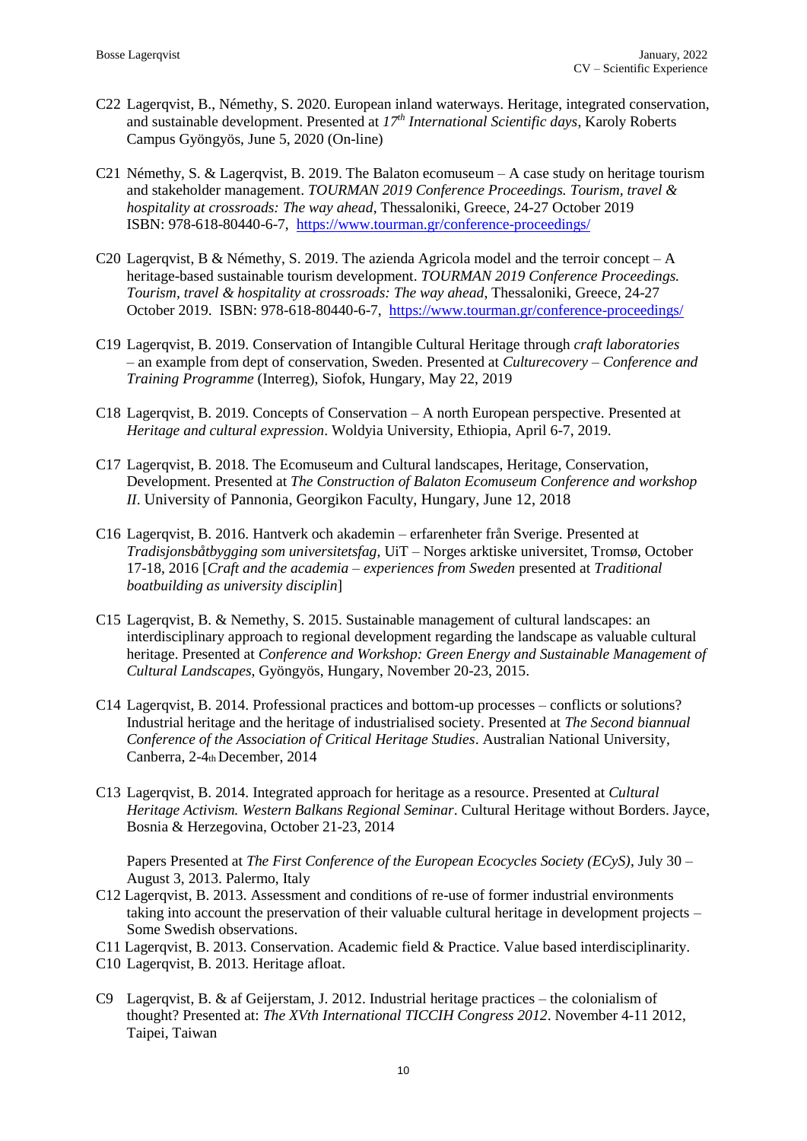- C22 Lagerqvist, B., Némethy, S. 2020. European inland waterways. Heritage, integrated conservation, and sustainable development. Presented at *17th International Scientific days*, Karoly Roberts Campus Gyöngyös, June 5, 2020 (On-line)
- C21 Némethy, S. & Lagerqvist, B. 2019. The Balaton ecomuseum A case study on heritage tourism and stakeholder management. *TOURMAN 2019 Conference Proceedings. Tourism, travel & hospitality at crossroads: The way ahead*, Thessaloniki, Greece, 24-27 October 2019 ISBN: 978-618-80440-6-7, <https://www.tourman.gr/conference-proceedings/>
- C20 Lagerqvist, B & Némethy, S. 2019. The azienda Agricola model and the terroir concept A heritage-based sustainable tourism development. *TOURMAN 2019 Conference Proceedings. Tourism, travel & hospitality at crossroads: The way ahead*, Thessaloniki, Greece, 24-27 October 2019. ISBN: 978-618-80440-6-7, <https://www.tourman.gr/conference-proceedings/>
- C19 Lagerqvist, B. 2019. Conservation of Intangible Cultural Heritage through *craft laboratories*  – an example from dept of conservation, Sweden. Presented at *Culturecovery – Conference and Training Programme* (Interreg), Siofok, Hungary, May 22, 2019
- C18 Lagerqvist, B. 2019. Concepts of Conservation A north European perspective. Presented at *Heritage and cultural expression*. Woldyia University, Ethiopia, April 6-7, 2019.
- C17 Lagerqvist, B. 2018. The Ecomuseum and Cultural landscapes, Heritage, Conservation, Development. Presented at *The Construction of Balaton Ecomuseum Conference and workshop II*. University of Pannonia, Georgikon Faculty, Hungary, June 12, 2018
- C16 Lagerqvist, B. 2016. Hantverk och akademin erfarenheter från Sverige. Presented at *Tradisjonsbåtbygging som universitetsfag,* UiT – Norges arktiske universitet, Tromsø, October 17-18, 2016 [*Craft and the academia – experiences from Sweden* presented at *Traditional boatbuilding as university disciplin*]
- C15 Lagerqvist, B. & Nemethy, S. 2015. Sustainable management of cultural landscapes: an interdisciplinary approach to regional development regarding the landscape as valuable cultural heritage. Presented at *Conference and Workshop: Green Energy and Sustainable Management of Cultural Landscapes,* Gyöngyös, Hungary, November 20-23, 2015.
- C14 Lagerqvist, B. 2014. Professional practices and bottom-up processes conflicts or solutions? Industrial heritage and the heritage of industrialised society. Presented at *The Second biannual Conference of the Association of Critical Heritage Studies*. Australian National University, Canberra, 2-4th December, 2014
- C13 Lagerqvist, B. 2014. Integrated approach for heritage as a resource. Presented at *Cultural Heritage Activism. Western Balkans Regional Seminar*. Cultural Heritage without Borders. Jayce, Bosnia & Herzegovina, October 21-23, 2014

Papers Presented at *The First Conference of the European Ecocycles Society (ECyS)*, July 30 – August 3, 2013. Palermo, Italy

- C12 Lagerqvist, B. 2013. Assessment and conditions of re-use of former industrial environments taking into account the preservation of their valuable cultural heritage in development projects – Some Swedish observations.
- C11 Lagerqvist, B. 2013. Conservation. Academic field & Practice. Value based interdisciplinarity.
- C10 Lagerqvist, B. 2013. Heritage afloat.
- C9 Lagerqvist, B. & af Geijerstam, J. 2012. Industrial heritage practices the colonialism of thought? Presented at: *The XVth International TICCIH Congress 2012*. November 4-11 2012, Taipei, Taiwan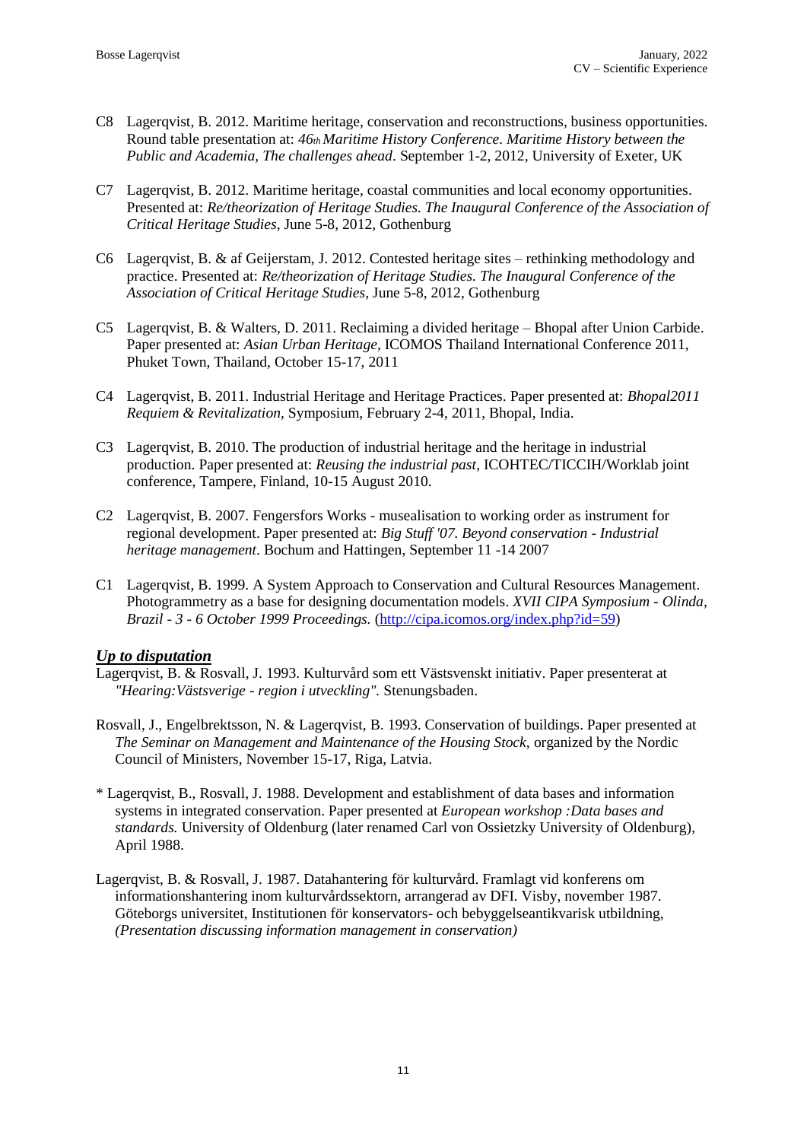- C8 Lagerqvist, B. 2012. Maritime heritage, conservation and reconstructions, business opportunities. Round table presentation at: *46th Maritime History Conference. Maritime History between the Public and Academia, The challenges ahead*. September 1-2, 2012, University of Exeter, UK
- C7 Lagerqvist, B. 2012. Maritime heritage, coastal communities and local economy opportunities. Presented at: *Re/theorization of Heritage Studies. The Inaugural Conference of the Association of Critical Heritage Studies*, June 5-8, 2012, Gothenburg
- C6 Lagerqvist, B. & af Geijerstam, J. 2012. Contested heritage sites rethinking methodology and practice. Presented at: *Re/theorization of Heritage Studies. The Inaugural Conference of the Association of Critical Heritage Studies*, June 5-8, 2012, Gothenburg
- C5 Lagerqvist, B. & Walters, D. 2011. Reclaiming a divided heritage Bhopal after Union Carbide. Paper presented at: *Asian Urban Heritage,* ICOMOS Thailand International Conference 2011, Phuket Town, Thailand, October 15-17, 2011
- C4 Lagerqvist, B. 2011. Industrial Heritage and Heritage Practices. Paper presented at: *Bhopal2011 Requiem & Revitalization,* Symposium, February 2-4, 2011, Bhopal, India.
- C3 Lagerqvist, B. 2010. The production of industrial heritage and the heritage in industrial production. Paper presented at: *Reusing the industrial past*, ICOHTEC/TICCIH/Worklab joint conference, Tampere, Finland, 10-15 August 2010.
- C2 Lagerqvist, B. 2007. Fengersfors Works musealisation to working order as instrument for regional development. Paper presented at: *Big Stuff '07. Beyond conservation - Industrial heritage management*. Bochum and Hattingen, September 11 -14 2007
- C1 Lagerqvist, B. 1999. A System Approach to Conservation and Cultural Resources Management. Photogrammetry as a base for designing documentation models. *XVII CIPA Symposium - Olinda, Brazil - 3 - 6 October 1999 Proceedings.* [\(http://cipa.icomos.org/index.php?id=59\)](http://cipa.icomos.org/index.php?id=59)

### *Up to disputation*

- Lagerqvist, B. & Rosvall, J. 1993. Kulturvård som ett Västsvenskt initiativ. Paper presenterat at *"Hearing:Västsverige - region i utveckling".* Stenungsbaden.
- Rosvall, J., Engelbrektsson, N. & Lagerqvist, B. 1993. Conservation of buildings. Paper presented at *The Seminar on Management and Maintenance of the Housing Stock,* organized by the Nordic Council of Ministers, November 15-17, Riga, Latvia.
- \* Lagerqvist, B., Rosvall, J. 1988. Development and establishment of data bases and information systems in integrated conservation. Paper presented at *European workshop :Data bases and standards.* University of Oldenburg (later renamed Carl von Ossietzky University of Oldenburg), April 1988.
- Lagerqvist, B. & Rosvall, J. 1987. Datahantering för kulturvård. Framlagt vid konferens om informationshantering inom kulturvårdssektorn, arrangerad av DFI. Visby, november 1987. Göteborgs universitet, Institutionen för konservators- och bebyggelseantikvarisk utbildning, *(Presentation discussing information management in conservation)*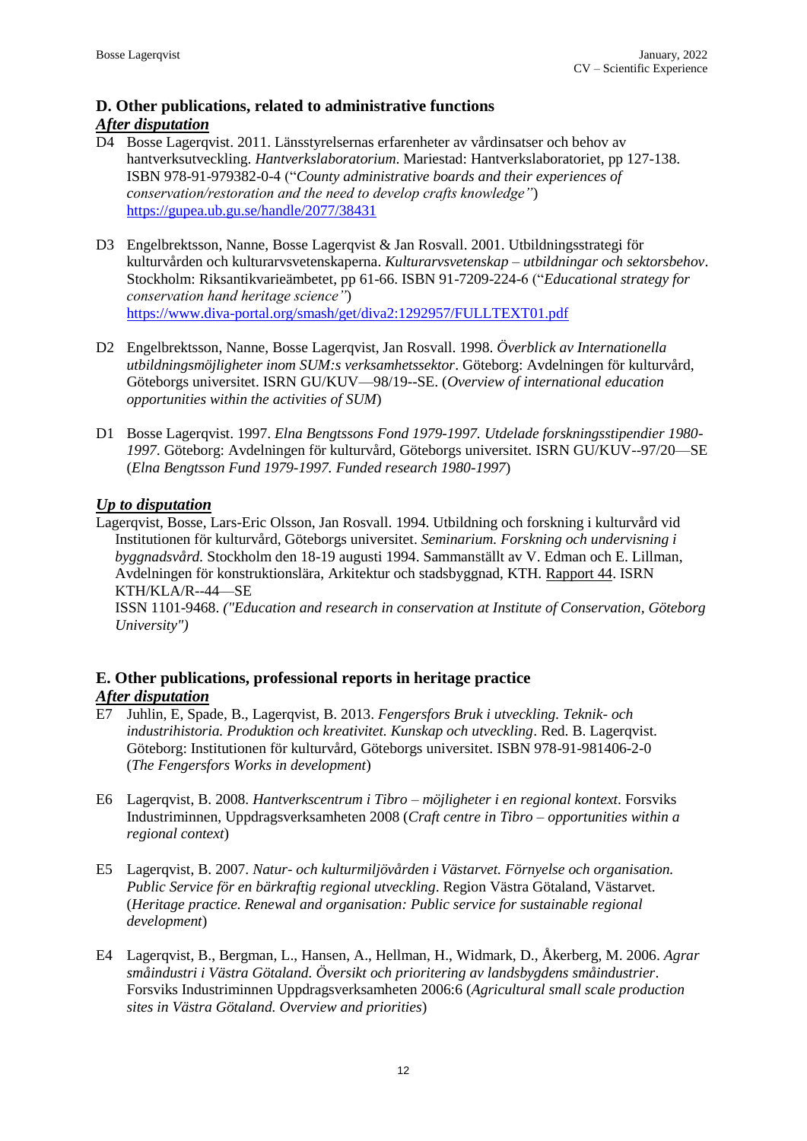### **D. Other publications, related to administrative functions**

### *After disputation*

- D4 Bosse Lagerqvist. 2011. Länsstyrelsernas erfarenheter av vårdinsatser och behov av hantverksutveckling. *Hantverkslaboratorium*. Mariestad: Hantverkslaboratoriet, pp 127-138. ISBN 978-91-979382-0-4 ("*County administrative boards and their experiences of conservation/restoration and the need to develop crafts knowledge"*) <https://gupea.ub.gu.se/handle/2077/38431>
- D3 Engelbrektsson, Nanne, Bosse Lagerqvist & Jan Rosvall. 2001. Utbildningsstrategi för kulturvården och kulturarvsvetenskaperna. *Kulturarvsvetenskap – utbildningar och sektorsbehov*. Stockholm: Riksantikvarieämbetet, pp 61-66. ISBN 91-7209-224-6 ("*Educational strategy for conservation hand heritage science"*) <https://www.diva-portal.org/smash/get/diva2:1292957/FULLTEXT01.pdf>
- D2 Engelbrektsson, Nanne, Bosse Lagerqvist, Jan Rosvall. 1998. *Överblick av Internationella utbildningsmöjligheter inom SUM:s verksamhetssektor*. Göteborg: Avdelningen för kulturvård, Göteborgs universitet. ISRN GU/KUV—98/19--SE. (*Overview of international education opportunities within the activities of SUM*)
- D1 Bosse Lagerqvist. 1997. *Elna Bengtssons Fond 1979-1997. Utdelade forskningsstipendier 1980- 1997*. Göteborg: Avdelningen för kulturvård, Göteborgs universitet. ISRN GU/KUV--97/20—SE (*Elna Bengtsson Fund 1979-1997. Funded research 1980-1997*)

### *Up to disputation*

Lagerqvist, Bosse, Lars-Eric Olsson, Jan Rosvall. 1994. Utbildning och forskning i kulturvård vid Institutionen för kulturvård, Göteborgs universitet. *Seminarium. Forskning och undervisning i byggnadsvård.* Stockholm den 18-19 augusti 1994. Sammanställt av V. Edman och E. Lillman, Avdelningen för konstruktionslära, Arkitektur och stadsbyggnad, KTH. Rapport 44. ISRN KTH/KLA/R--44—SE

ISSN 1101-9468. *("Education and research in conservation at Institute of Conservation, Göteborg University")*

### **E. Other publications, professional reports in heritage practice** *After disputation*

- E7 Juhlin, E, Spade, B., Lagerqvist, B. 2013. *Fengersfors Bruk i utveckling. Teknik- och industrihistoria. Produktion och kreativitet. Kunskap och utveckling*. Red. B. Lagerqvist. Göteborg: Institutionen för kulturvård, Göteborgs universitet. ISBN 978-91-981406-2-0 (*The Fengersfors Works in development*)
- E6 Lagerqvist, B. 2008. *Hantverkscentrum i Tibro – möjligheter i en regional kontext*. Forsviks Industriminnen, Uppdragsverksamheten 2008 (*Craft centre in Tibro – opportunities within a regional context*)
- E5 Lagerqvist, B. 2007. *Natur- och kulturmiljövården i Västarvet. Förnyelse och organisation. Public Service för en bärkraftig regional utveckling*. Region Västra Götaland, Västarvet. (*Heritage practice. Renewal and organisation: Public service for sustainable regional development*)
- E4 Lagerqvist, B., Bergman, L., Hansen, A., Hellman, H., Widmark, D., Åkerberg, M. 2006. *Agrar småindustri i Västra Götaland. Översikt och prioritering av landsbygdens småindustrier*. Forsviks Industriminnen Uppdragsverksamheten 2006:6 (*Agricultural small scale production sites in Västra Götaland. Overview and priorities*)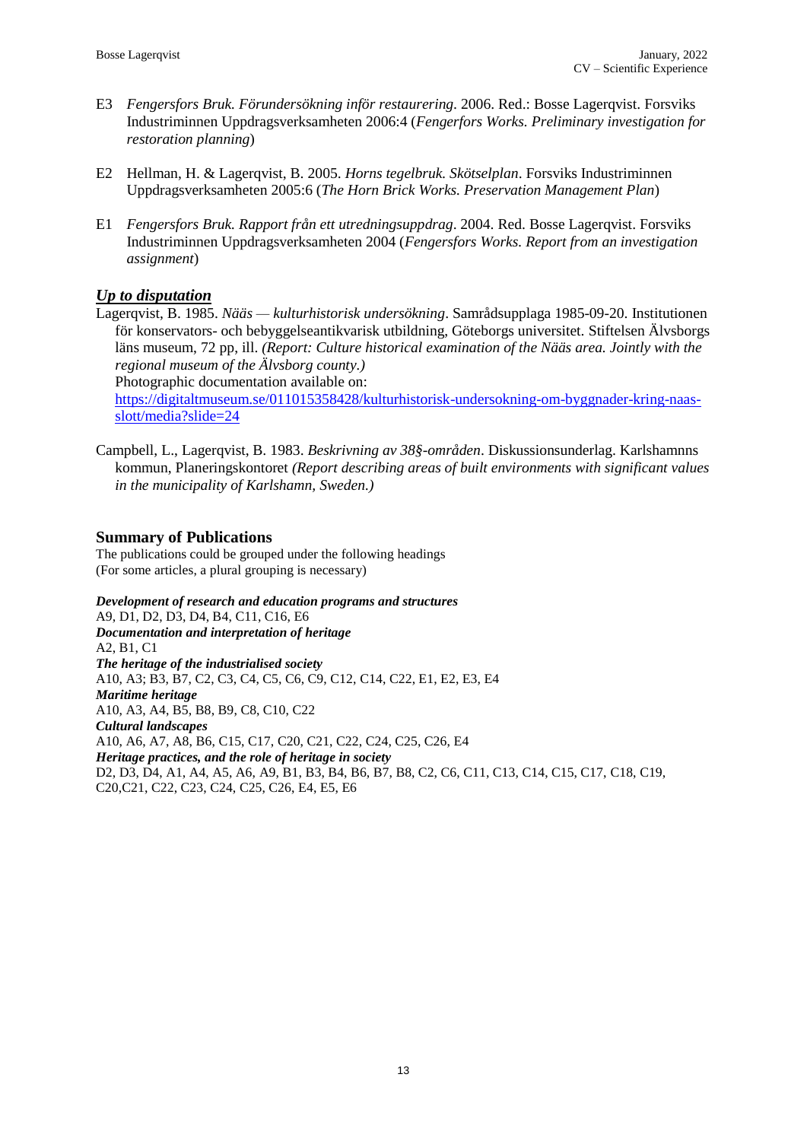- E3 *Fengersfors Bruk. Förundersökning inför restaurering*. 2006. Red.: Bosse Lagerqvist. Forsviks Industriminnen Uppdragsverksamheten 2006:4 (*Fengerfors Works. Preliminary investigation for restoration planning*)
- E2 Hellman, H. & Lagerqvist, B. 2005. *Horns tegelbruk. Skötselplan*. Forsviks Industriminnen Uppdragsverksamheten 2005:6 (*The Horn Brick Works. Preservation Management Plan*)
- E1 *Fengersfors Bruk. Rapport från ett utredningsuppdrag*. 2004. Red. Bosse Lagerqvist. Forsviks Industriminnen Uppdragsverksamheten 2004 (*Fengersfors Works. Report from an investigation assignment*)

### *Up to disputation*

Lagerqvist, B. 1985. *Nääs — kulturhistorisk undersökning*. Samrådsupplaga 1985-09-20. Institutionen för konservators- och bebyggelseantikvarisk utbildning, Göteborgs universitet. Stiftelsen Älvsborgs läns museum, 72 pp, ill. *(Report: Culture historical examination of the Nääs area. Jointly with the regional museum of the Älvsborg county.)*

Photographic documentation available on:

[https://digitaltmuseum.se/011015358428/kulturhistorisk-undersokning-om-byggnader-kring-naas](https://digitaltmuseum.se/011015358428/kulturhistorisk-undersokning-om-byggnader-kring-naas-slott/media?slide=24)[slott/media?slide=24](https://digitaltmuseum.se/011015358428/kulturhistorisk-undersokning-om-byggnader-kring-naas-slott/media?slide=24)

Campbell, L., Lagerqvist, B. 1983. *Beskrivning av 38§-områden*. Diskussionsunderlag. Karlshamnns kommun, Planeringskontoret *(Report describing areas of built environments with significant values in the municipality of Karlshamn, Sweden.)*

### **Summary of Publications**

The publications could be grouped under the following headings (For some articles, a plural grouping is necessary)

*Development of research and education programs and structures* A9, D1, D2, D3, D4, B4, C11, C16, E6 *Documentation and interpretation of heritage* A2, B1, C1 *The heritage of the industrialised society* A10, A3; B3, B7, C2, C3, C4, C5, C6, C9, C12, C14, C22, E1, E2, E3, E4 *Maritime heritage* A10, A3, A4, B5, B8, B9, C8, C10, C22 *Cultural landscapes* A10, A6, A7, A8, B6, C15, C17, C20, C21, C22, C24, C25, C26, E4 *Heritage practices, and the role of heritage in society* D2, D3, D4, A1, A4, A5, A6, A9, B1, B3, B4, B6, B7, B8, C2, C6, C11, C13, C14, C15, C17, C18, C19, C20,C21, C22, C23, C24, C25, C26, E4, E5, E6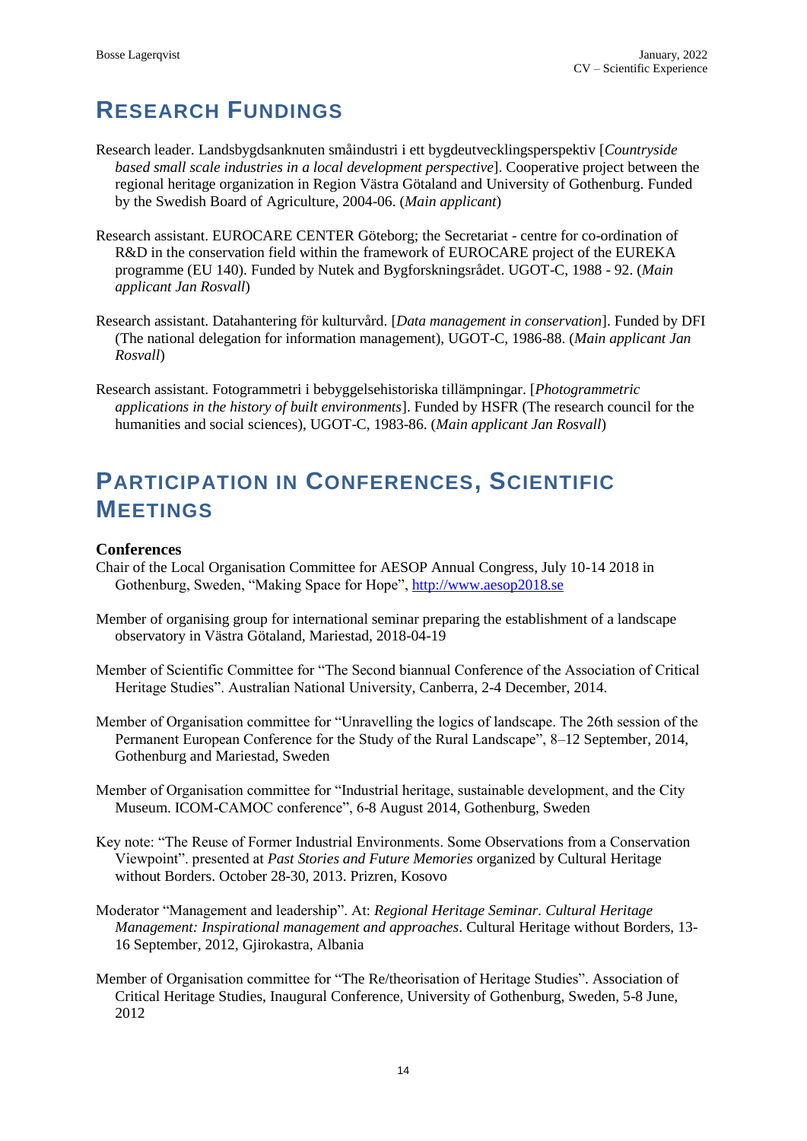# **RESEARCH FUNDINGS**

- Research leader. Landsbygdsanknuten småindustri i ett bygdeutvecklingsperspektiv [*Countryside based small scale industries in a local development perspective*]. Cooperative project between the regional heritage organization in Region Västra Götaland and University of Gothenburg. Funded by the Swedish Board of Agriculture, 2004-06. (*Main applicant*)
- Research assistant. EUROCARE CENTER Göteborg; the Secretariat centre for co-ordination of R&D in the conservation field within the framework of EUROCARE project of the EUREKA programme (EU 140). Funded by Nutek and Bygforskningsrådet. UGOT-C, 1988 - 92. (*Main applicant Jan Rosvall*)
- Research assistant. Datahantering för kulturvård. [*Data management in conservation*]. Funded by DFI (The national delegation for information management), UGOT-C, 1986-88. (*Main applicant Jan Rosvall*)
- Research assistant. Fotogrammetri i bebyggelsehistoriska tillämpningar. [*Photogrammetric applications in the history of built environments*]. Funded by HSFR (The research council for the humanities and social sciences), UGOT-C, 1983-86. (*Main applicant Jan Rosvall*)

# **PARTICIPATION IN CONFERENCES, SCIENTIFIC MEETINGS**

### **Conferences**

- Chair of the Local Organisation Committee for AESOP Annual Congress, July 10-14 2018 in Gothenburg, Sweden, "Making Space for Hope", [http://www.aesop2018.se](http://www.aesop2018.se/)
- Member of organising group for international seminar preparing the establishment of a landscape observatory in Västra Götaland, Mariestad, 2018-04-19
- Member of Scientific Committee for "The Second biannual Conference of the Association of Critical Heritage Studies". Australian National University, Canberra, 2-4 December, 2014.
- Member of Organisation committee for "Unravelling the logics of landscape. The 26th session of the Permanent European Conference for the Study of the Rural Landscape", 8–12 September, 2014, Gothenburg and Mariestad, Sweden
- Member of Organisation committee for "Industrial heritage, sustainable development, and the City Museum. ICOM-CAMOC conference", 6-8 August 2014, Gothenburg, Sweden
- Key note: "The Reuse of Former Industrial Environments. Some Observations from a Conservation Viewpoint". presented at *Past Stories and Future Memories* organized by Cultural Heritage without Borders. October 28-30, 2013. Prizren, Kosovo
- Moderator "Management and leadership". At: *Regional Heritage Seminar. Cultural Heritage Management: Inspirational management and approaches*. Cultural Heritage without Borders, 13- 16 September, 2012, Gjirokastra, Albania
- Member of Organisation committee for "The Re/theorisation of Heritage Studies". Association of Critical Heritage Studies, Inaugural Conference, University of Gothenburg, Sweden, 5-8 June, 2012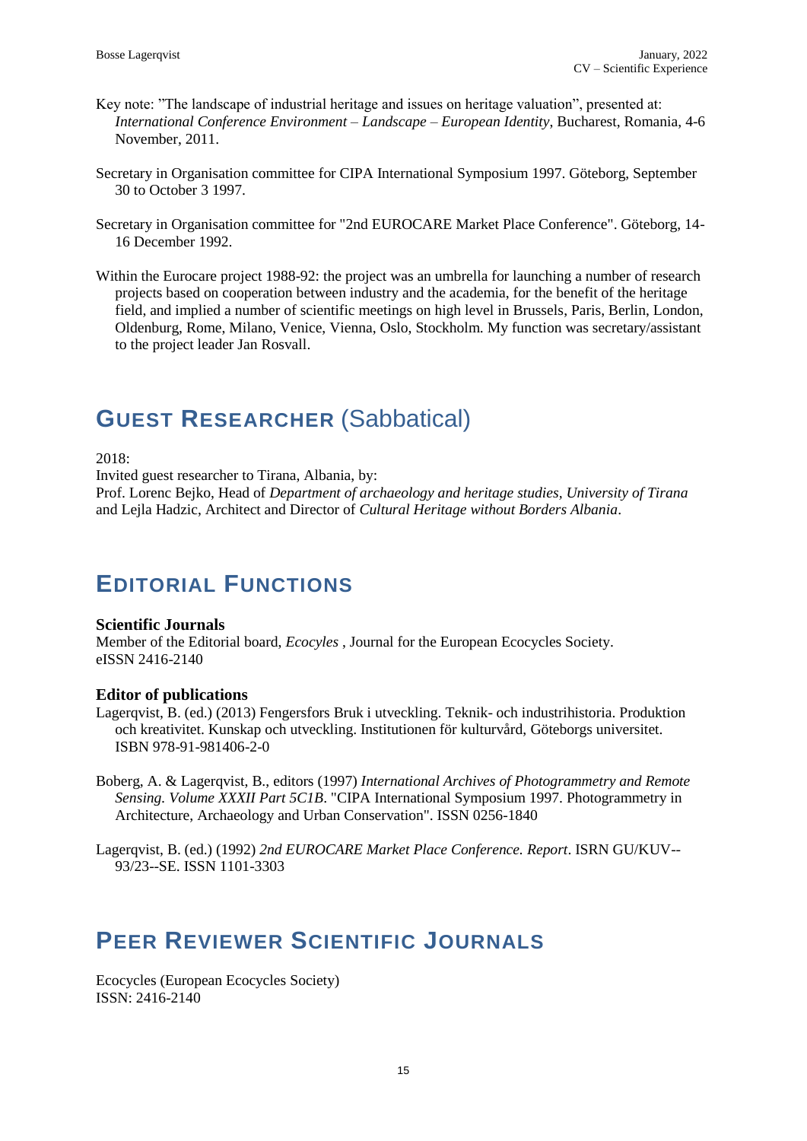- Key note: "The landscape of industrial heritage and issues on heritage valuation", presented at: *International Conference Environment – Landscape – European Identity*, Bucharest, Romania, 4-6 November, 2011.
- Secretary in Organisation committee for CIPA International Symposium 1997. Göteborg, September 30 to October 3 1997.
- Secretary in Organisation committee for "2nd EUROCARE Market Place Conference". Göteborg, 14- 16 December 1992.
- Within the Eurocare project 1988-92: the project was an umbrella for launching a number of research projects based on cooperation between industry and the academia, for the benefit of the heritage field, and implied a number of scientific meetings on high level in Brussels, Paris, Berlin, London, Oldenburg, Rome, Milano, Venice, Vienna, Oslo, Stockholm. My function was secretary/assistant to the project leader Jan Rosvall.

# **GUEST RESEARCHER** (Sabbatical)

### 2018:

Invited guest researcher to Tirana, Albania, by:

Prof. Lorenc Bejko, Head of *Department of archaeology and heritage studies, University of Tirana* and Lejla Hadzic, Architect and Director of *Cultural Heritage without Borders Albania*.

## **EDITORIAL FUNCTIONS**

### **Scientific Journals**

Member of the Editorial board, *Ecocyles* , Journal for the European Ecocycles Society. eISSN 2416-2140

### **Editor of publications**

- Lagerqvist, B. (ed.) (2013) Fengersfors Bruk i utveckling. Teknik- och industrihistoria. Produktion och kreativitet. Kunskap och utveckling. Institutionen för kulturvård, Göteborgs universitet. ISBN 978-91-981406-2-0
- Boberg, A. & Lagerqvist, B., editors (1997) *International Archives of Photogrammetry and Remote Sensing. Volume XXXII Part 5C1B*. "CIPA International Symposium 1997. Photogrammetry in Architecture, Archaeology and Urban Conservation". ISSN 0256-1840

Lagerqvist, B. (ed.) (1992) *2nd EUROCARE Market Place Conference. Report*. ISRN GU/KUV-- 93/23--SE. ISSN 1101-3303

# **PEER REVIEWER SCIENTIFIC JOURNALS**

Ecocycles (European Ecocycles Society) ISSN: 2416-2140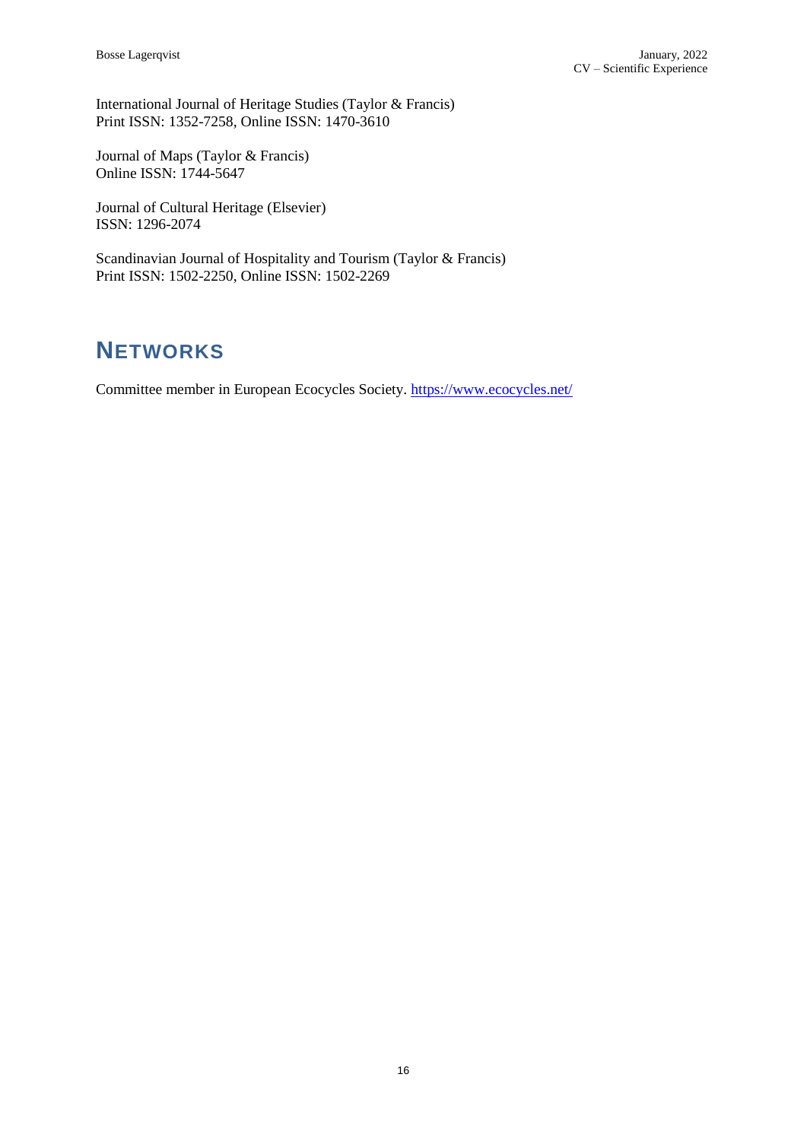International Journal of Heritage Studies (Taylor & Francis) Print ISSN: 1352-7258, Online ISSN: 1470-3610

Journal of Maps (Taylor & Francis) Online ISSN: 1744-5647

Journal of Cultural Heritage (Elsevier) ISSN: 1296-2074

Scandinavian Journal of Hospitality and Tourism (Taylor & Francis) Print ISSN: 1502-2250, Online ISSN: 1502-2269

# **NETWORKS**

Committee member in European Ecocycles Society.<https://www.ecocycles.net/>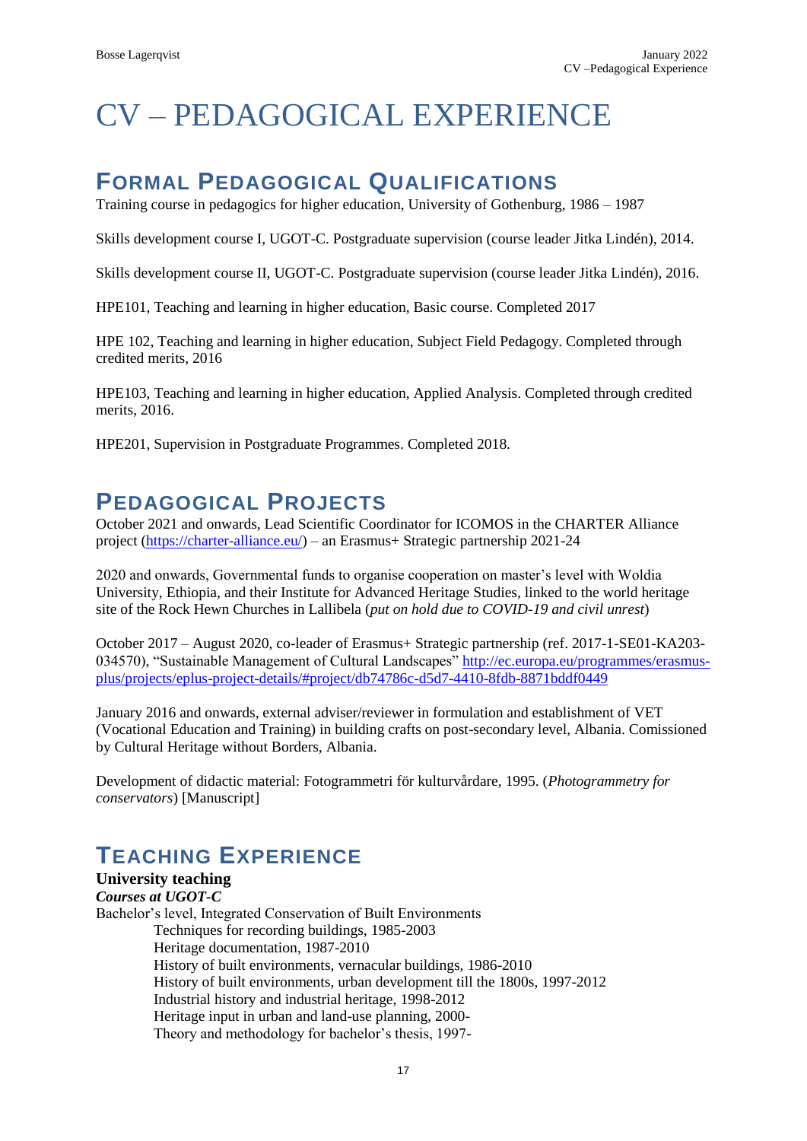# CV – PEDAGOGICAL EXPERIENCE

# **FORMAL PEDAGOGICAL QUALIFICATIONS**

Training course in pedagogics for higher education, University of Gothenburg, 1986 – 1987

Skills development course I, UGOT-C. Postgraduate supervision (course leader Jitka Lindén), 2014.

Skills development course II, UGOT-C. Postgraduate supervision (course leader Jitka Lindén), 2016.

HPE101, Teaching and learning in higher education, Basic course. Completed 2017

HPE 102, Teaching and learning in higher education, Subject Field Pedagogy. Completed through credited merits, 2016

HPE103, Teaching and learning in higher education, Applied Analysis. Completed through credited merits, 2016.

HPE201, Supervision in Postgraduate Programmes. Completed 2018.

### **PEDAGOGICAL PROJECTS**

October 2021 and onwards, Lead Scientific Coordinator for ICOMOS in the CHARTER Alliance project [\(https://charter-alliance.eu/\)](https://charter-alliance.eu/) – an Erasmus+ Strategic partnership 2021-24

2020 and onwards, Governmental funds to organise cooperation on master's level with Woldia University, Ethiopia, and their Institute for Advanced Heritage Studies, linked to the world heritage site of the Rock Hewn Churches in Lallibela (*put on hold due to COVID-19 and civil unrest*)

October 2017 – August 2020, co-leader of Erasmus+ Strategic partnership (ref. 2017-1-SE01-KA203- 034570), "Sustainable Management of Cultural Landscapes" [http://ec.europa.eu/programmes/erasmus](http://ec.europa.eu/programmes/erasmus-plus/projects/eplus-project-details/#project/db74786c-d5d7-4410-8fdb-8871bddf0449)[plus/projects/eplus-project-details/#project/db74786c-d5d7-4410-8fdb-8871bddf0449](http://ec.europa.eu/programmes/erasmus-plus/projects/eplus-project-details/#project/db74786c-d5d7-4410-8fdb-8871bddf0449) 

January 2016 and onwards, external adviser/reviewer in formulation and establishment of VET (Vocational Education and Training) in building crafts on post-secondary level, Albania. Comissioned by Cultural Heritage without Borders, Albania.

Development of didactic material: Fotogrammetri för kulturvårdare, 1995. (*Photogrammetry for conservators*) [Manuscript]

## **TEACHING EXPERIENCE**

### **University teaching** *Courses at UGOT-C* Bachelor's level, Integrated Conservation of Built Environments Techniques for recording buildings, 1985-2003 Heritage documentation, 1987-2010 History of built environments, vernacular buildings, 1986-2010 History of built environments, urban development till the 1800s, 1997-2012 Industrial history and industrial heritage, 1998-2012 Heritage input in urban and land-use planning, 2000- Theory and methodology for bachelor's thesis, 1997-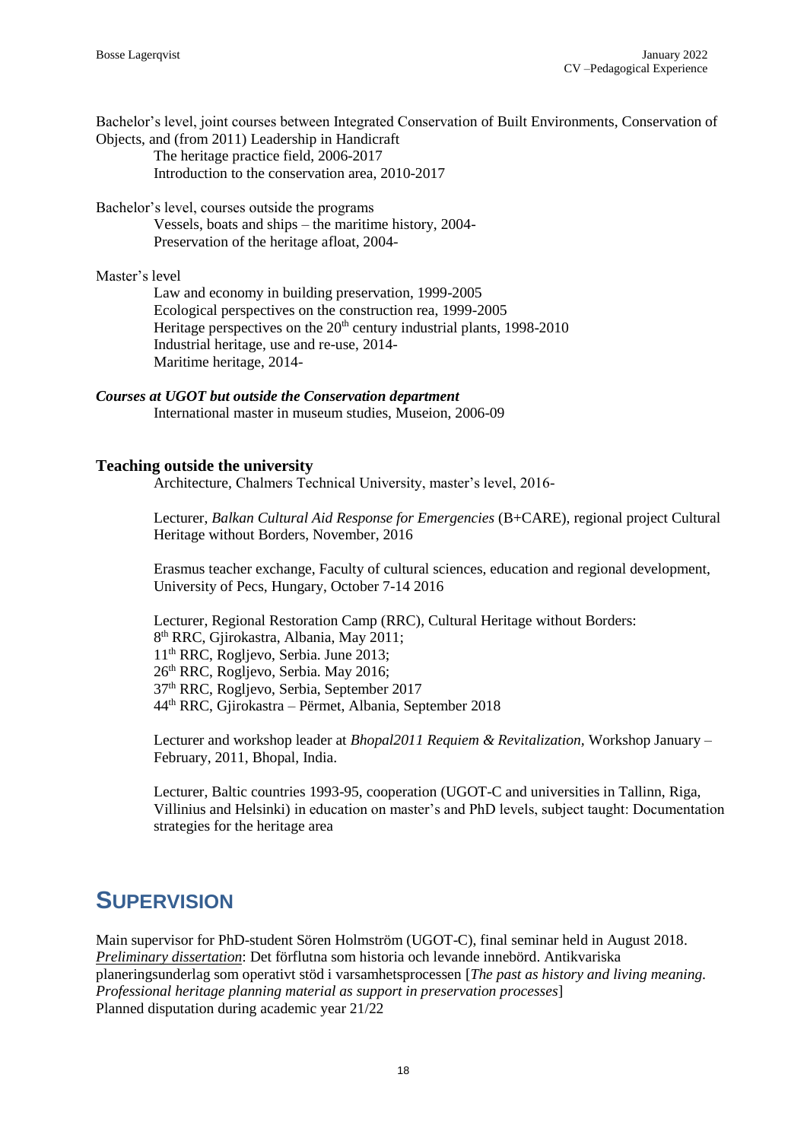Bachelor's level, joint courses between Integrated Conservation of Built Environments, Conservation of Objects, and (from 2011) Leadership in Handicraft The heritage practice field, 2006-2017

Introduction to the conservation area, 2010-2017

Bachelor's level, courses outside the programs Vessels, boats and ships – the maritime history, 2004- Preservation of the heritage afloat, 2004-

### Master's level

Law and economy in building preservation, 1999-2005 Ecological perspectives on the construction rea, 1999-2005 Heritage perspectives on the 20<sup>th</sup> century industrial plants, 1998-2010 Industrial heritage, use and re-use, 2014- Maritime heritage, 2014-

*Courses at UGOT but outside the Conservation department* International master in museum studies, Museion, 2006-09

### **Teaching outside the university**

Architecture, Chalmers Technical University, master's level, 2016-

Lecturer, *Balkan Cultural Aid Response for Emergencies* (B+CARE), regional project Cultural Heritage without Borders, November, 2016

Erasmus teacher exchange, Faculty of cultural sciences, education and regional development, University of Pecs, Hungary, October 7-14 2016

Lecturer, Regional Restoration Camp (RRC), Cultural Heritage without Borders: th RRC, Gjirokastra, Albania, May 2011; th RRC, Rogljevo, Serbia. June 2013; th RRC, Rogljevo, Serbia. May 2016; th RRC, Rogljevo, Serbia, September 2017 th RRC, Gjirokastra – Përmet, Albania, September 2018

Lecturer and workshop leader at *Bhopal2011 Requiem & Revitalization,* Workshop January – February, 2011, Bhopal, India.

Lecturer, Baltic countries 1993-95, cooperation (UGOT-C and universities in Tallinn, Riga, Villinius and Helsinki) in education on master's and PhD levels, subject taught: Documentation strategies for the heritage area

## **SUPERVISION**

Main supervisor for PhD-student Sören Holmström (UGOT-C), final seminar held in August 2018. *Preliminary dissertation*: Det förflutna som historia och levande innebörd. Antikvariska planeringsunderlag som operativt stöd i varsamhetsprocessen [*The past as history and living meaning. Professional heritage planning material as support in preservation processes*] Planned disputation during academic year 21/22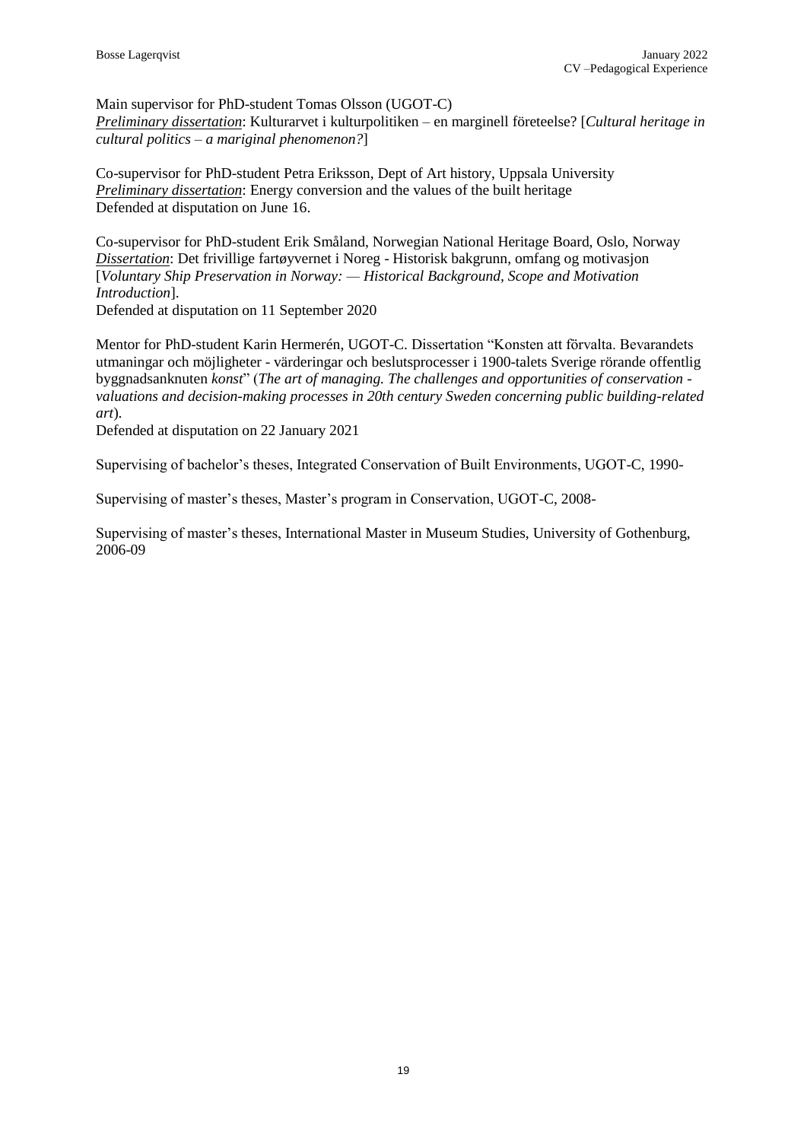Main supervisor for PhD-student Tomas Olsson (UGOT-C) *Preliminary dissertation*: Kulturarvet i kulturpolitiken – en marginell företeelse? [*Cultural heritage in cultural politics – a mariginal phenomenon?*]

Co-supervisor for PhD-student Petra Eriksson, Dept of Art history, Uppsala University *Preliminary dissertation*: Energy conversion and the values of the built heritage Defended at disputation on June 16.

Co-supervisor for PhD-student Erik Småland, Norwegian National Heritage Board, Oslo, Norway *Dissertation*: Det frivillige fartøyvernet i Noreg - Historisk bakgrunn, omfang og motivasjon [*Voluntary Ship Preservation in Norway: — Historical Background, Scope and Motivation Introduction*].

Defended at disputation on 11 September 2020

Mentor for PhD-student Karin Hermerén, UGOT-C. Dissertation "Konsten att förvalta. Bevarandets utmaningar och möjligheter - värderingar och beslutsprocesser i 1900-talets Sverige rörande offentlig byggnadsanknuten *konst*" (*The art of managing. The challenges and opportunities of conservation valuations and decision-making processes in 20th century Sweden concerning public building-related art*).

Defended at disputation on 22 January 2021

Supervising of bachelor's theses, Integrated Conservation of Built Environments, UGOT-C, 1990-

Supervising of master's theses, Master's program in Conservation, UGOT-C, 2008-

Supervising of master's theses, International Master in Museum Studies, University of Gothenburg, 2006-09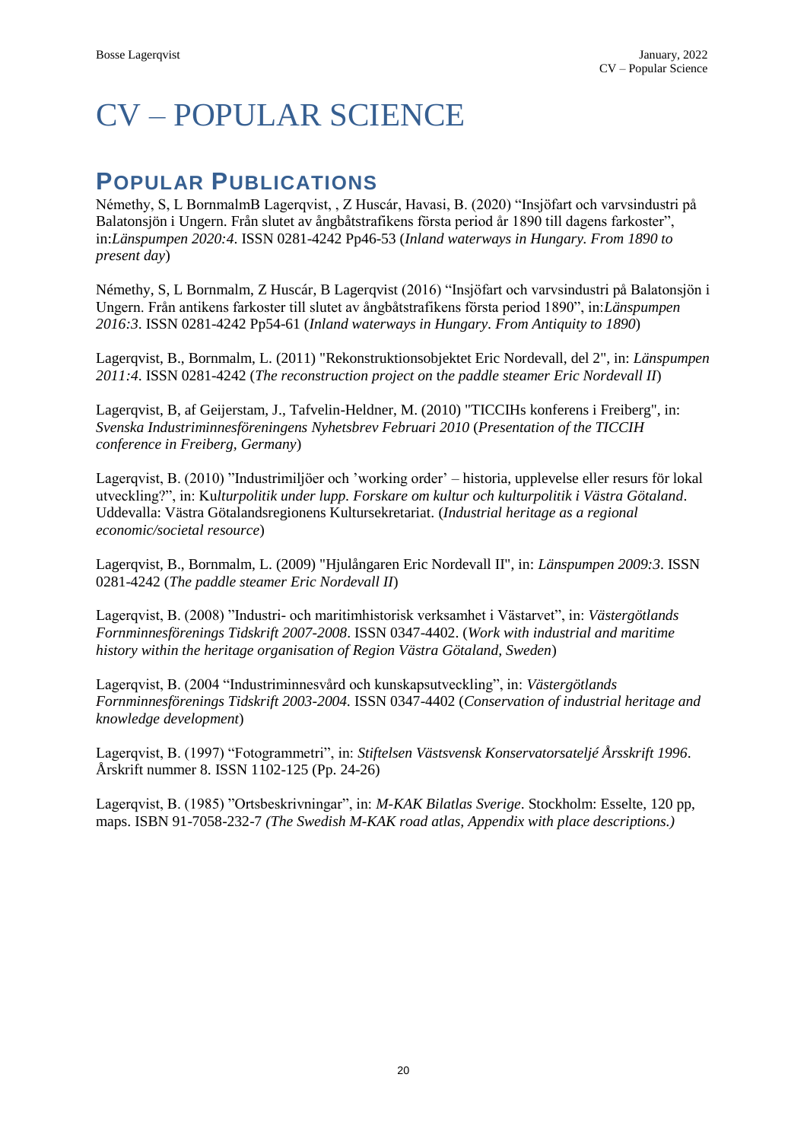# CV – POPULAR SCIENCE

## **POPULAR PUBLICATIONS**

Némethy, S, L BornmalmB Lagerqvist, , Z Huscár, Havasi, B. (2020) "Insjöfart och varvsindustri på Balatonsjön i Ungern. Från slutet av ångbåtstrafikens första period år 1890 till dagens farkoster", in:*Länspumpen 2020:4*. ISSN 0281-4242 Pp46-53 (*Inland waterways in Hungary. From 1890 to present day*)

Némethy, S, L Bornmalm, Z Huscár, B Lagerqvist (2016) "Insjöfart och varvsindustri på Balatonsjön i Ungern. Från antikens farkoster till slutet av ångbåtstrafikens första period 1890", in:*Länspumpen 2016:3*. ISSN 0281-4242 Pp54-61 (*Inland waterways in Hungary. From Antiquity to 1890*)

Lagerqvist, B., Bornmalm, L. (2011) "Rekonstruktionsobjektet Eric Nordevall, del 2", in: *Länspumpen 2011:4*. ISSN 0281-4242 (*The reconstruction project on* t*he paddle steamer Eric Nordevall II*)

Lagerqvist, B, af Geijerstam, J., Tafvelin-Heldner, M. (2010) "TICCIHs konferens i Freiberg", in: *Svenska Industriminnesföreningens Nyhetsbrev Februari 2010* (*Presentation of the TICCIH conference in Freiberg, Germany*)

Lagerqvist, B. (2010) "Industrimiljöer och 'working order' – historia, upplevelse eller resurs för lokal utveckling?", in: Ku*lturpolitik under lupp. Forskare om kultur och kulturpolitik i Västra Götaland*. Uddevalla: Västra Götalandsregionens Kultursekretariat. (*Industrial heritage as a regional economic/societal resource*)

Lagerqvist, B., Bornmalm, L. (2009) "Hjulångaren Eric Nordevall II", in: *Länspumpen 2009:3*. ISSN 0281-4242 (*The paddle steamer Eric Nordevall II*)

Lagerqvist, B. (2008) "Industri- och maritimhistorisk verksamhet i Västarvet", in: *Västergötlands Fornminnesförenings Tidskrift 2007-2008*. ISSN 0347-4402. (*Work with industrial and maritime history within the heritage organisation of Region Västra Götaland, Sweden*)

Lagerqvist, B. (2004 "Industriminnesvård och kunskapsutveckling", in: *Västergötlands Fornminnesförenings Tidskrift 2003-2004.* ISSN 0347-4402 (*Conservation of industrial heritage and knowledge development*)

Lagerqvist, B. (1997) "Fotogrammetri", in: *Stiftelsen Västsvensk Konservatorsateljé Årsskrift 1996*. Årskrift nummer 8. ISSN 1102-125 (Pp. 24-26)

Lagerqvist, B. (1985) "Ortsbeskrivningar", in: *M-KAK Bilatlas Sverige*. Stockholm: Esselte, 120 pp, maps. ISBN 91-7058-232-7 *(The Swedish M-KAK road atlas, Appendix with place descriptions.)*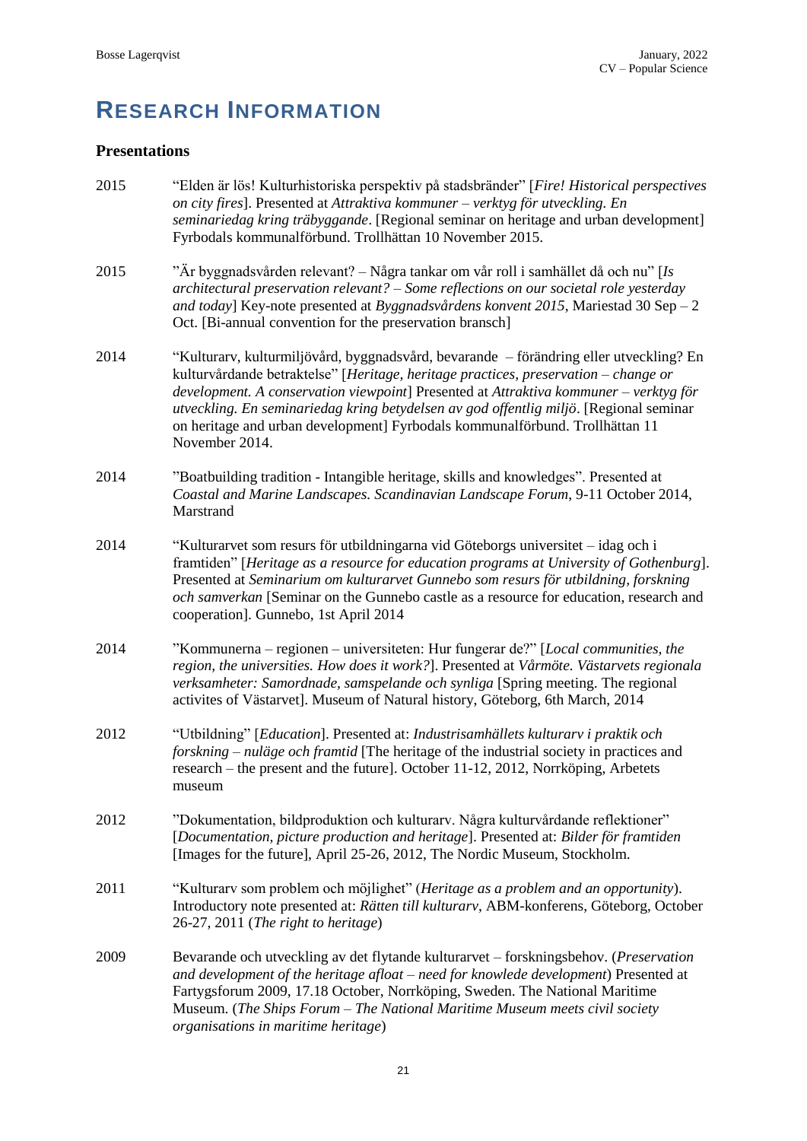# **RESEARCH INFORMATION**

### **Presentations**

| 2015 | "Elden är lös! Kulturhistoriska perspektiv på stadsbränder" [Fire! Historical perspectives<br>on city fires]. Presented at Attraktiva kommuner - verktyg för utveckling. En<br>seminariedag kring träbyggande. [Regional seminar on heritage and urban development]<br>Fyrbodals kommunalförbund. Trollhättan 10 November 2015.                                                                                                                                    |
|------|--------------------------------------------------------------------------------------------------------------------------------------------------------------------------------------------------------------------------------------------------------------------------------------------------------------------------------------------------------------------------------------------------------------------------------------------------------------------|
| 2015 | "Är byggnadsvården relevant? – Några tankar om vår roll i samhället då och nu" [Is<br>architectural preservation relevant? – Some reflections on our societal role yesterday<br>and today] Key-note presented at Byggnadsvårdens konvent 2015, Mariestad 30 Sep - 2<br>Oct. [Bi-annual convention for the preservation bransch]                                                                                                                                    |
| 2014 | "Kulturarv, kulturmiljövård, byggnadsvård, bevarande – förändring eller utveckling? En<br>kulturvårdande betraktelse" [Heritage, heritage practices, preservation - change or<br>development. A conservation viewpoint] Presented at Attraktiva kommuner - verktyg för<br>utveckling. En seminariedag kring betydelsen av god offentlig miljö. [Regional seminar<br>on heritage and urban development] Fyrbodals kommunalförbund. Trollhättan 11<br>November 2014. |
| 2014 | "Boatbuilding tradition - Intangible heritage, skills and knowledges". Presented at<br>Coastal and Marine Landscapes. Scandinavian Landscape Forum, 9-11 October 2014,<br>Marstrand                                                                                                                                                                                                                                                                                |
| 2014 | "Kulturarvet som resurs för utbildningarna vid Göteborgs universitet – idag och i<br>framtiden" [Heritage as a resource for education programs at University of Gothenburg].<br>Presented at Seminarium om kulturarvet Gunnebo som resurs för utbildning, forskning<br>och samverkan [Seminar on the Gunnebo castle as a resource for education, research and<br>cooperation]. Gunnebo, 1st April 2014                                                             |
| 2014 | "Kommunerna – regionen – universiteten: Hur fungerar de?" [Local communities, the<br>region, the universities. How does it work?]. Presented at Vårmöte. Västarvets regionala<br>verksamheter: Samordnade, samspelande och synliga [Spring meeting. The regional<br>activites of Västarvet]. Museum of Natural history, Göteborg, 6th March, 2014                                                                                                                  |
| 2012 | "Utbildning" [Education]. Presented at: Industrisamhällets kulturarv i praktik och<br>forskning – nulage och framtid [The heritage of the industrial society in practices and<br>research – the present and the future]. October 11-12, 2012, Norrköping, Arbetets<br>museum                                                                                                                                                                                       |
| 2012 | "Dokumentation, bildproduktion och kulturarv. Några kulturvårdande reflektioner"<br>[Documentation, picture production and heritage]. Presented at: Bilder för framtiden<br>[Images for the future], April 25-26, 2012, The Nordic Museum, Stockholm.                                                                                                                                                                                                              |
| 2011 | "Kulturarv som problem och möjlighet" (Heritage as a problem and an opportunity).<br>Introductory note presented at: Rätten till kulturarv, ABM-konferens, Göteborg, October<br>26-27, 2011 (The right to heritage)                                                                                                                                                                                                                                                |
| 2009 | Bevarande och utveckling av det flytande kulturarvet – forskningsbehov. (Preservation<br>and development of the heritage afloat – need for knowlede development) Presented at<br>Fartygsforum 2009, 17.18 October, Norrköping, Sweden. The National Maritime<br>Museum. (The Ships Forum - The National Maritime Museum meets civil society<br>organisations in maritime heritage)                                                                                 |